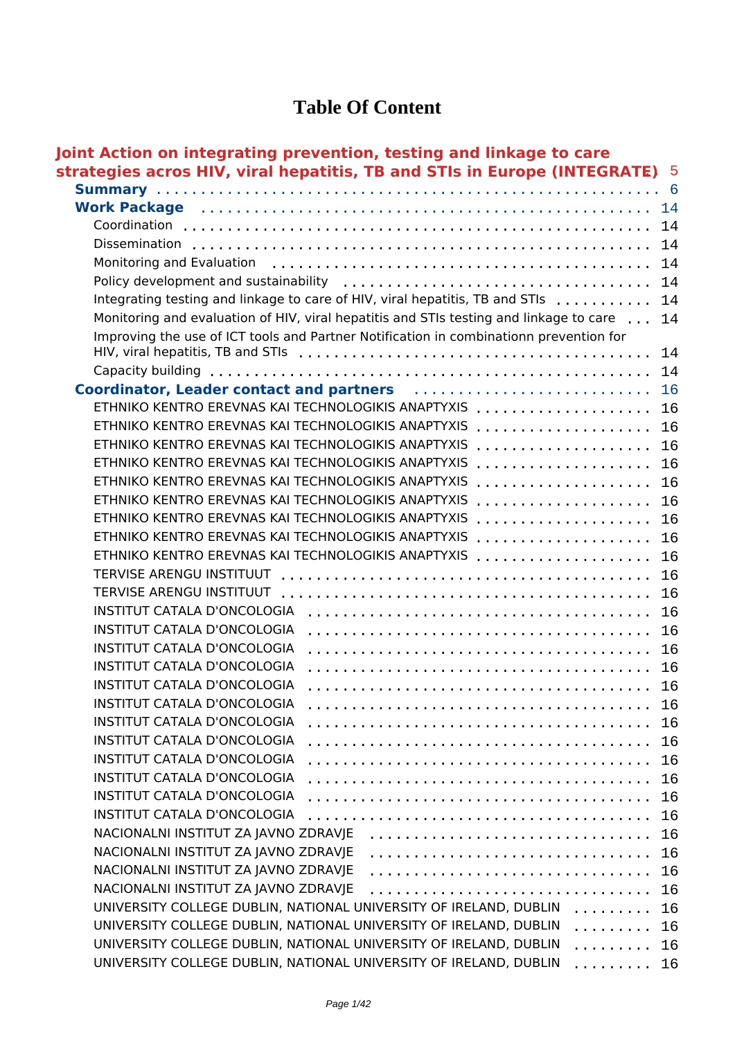### **Table Of Content**

| Joint Action on integrating prevention, testing and linkage to care                                           |     |
|---------------------------------------------------------------------------------------------------------------|-----|
| strategies acros HIV, viral hepatitis, TB and STIs in Europe (INTEGRATE) 5                                    |     |
|                                                                                                               | - 6 |
| Work Package (Alternative Alternative Alternative Alternative Alternative Alternative Alternative Alternative | 14  |
|                                                                                                               | 14  |
| Dissemination                                                                                                 | 14  |
| Monitoring and Evaluation                                                                                     | 14  |
| Policy development and sustainability                                                                         | 14  |
| Integrating testing and linkage to care of HIV, viral hepatitis, TB and STIs                                  | 14  |
| Monitoring and evaluation of HIV, viral hepatitis and STIs testing and linkage to care                        | 14  |
| Improving the use of ICT tools and Partner Notification in combinationn prevention for                        |     |
|                                                                                                               | 14  |
|                                                                                                               | 14  |
| Coordinator, Leader contact and partners                                                                      | 16  |
| ETHNIKO KENTRO EREVNAS KAI TECHNOLOGIKIS ANAPTYXIS                                                            | 16  |
| ETHNIKO KENTRO EREVNAS KAI TECHNOLOGIKIS ANAPTYXIS<br>.                                                       | 16  |
| ETHNIKO KENTRO EREVNAS KAI TECHNOLOGIKIS ANAPTYXIS<br>.                                                       | 16  |
| ETHNIKO KENTRO EREVNAS KAI TECHNOLOGIKIS ANAPTYXIS                                                            | 16  |
| ETHNIKO KENTRO EREVNAS KAI TECHNOLOGIKIS ANAPTYXIS                                                            | 16  |
| ETHNIKO KENTRO EREVNAS KAI TECHNOLOGIKIS ANAPTYXIS                                                            | 16  |
| ETHNIKO KENTRO EREVNAS KAI TECHNOLOGIKIS ANAPTYXIS<br>.                                                       | 16  |
| ETHNIKO KENTRO EREVNAS KAI TECHNOLOGIKIS ANAPTYXIS                                                            | 16  |
| ETHNIKO KENTRO EREVNAS KAI TECHNOLOGIKIS ANAPTYXIS                                                            | 16  |
| TERVISE ARENGU INSTITUUT                                                                                      | 16  |
|                                                                                                               | 16  |
| INSTITUT CATALA D'ONCOLOGIA                                                                                   | 16  |
| <b>INSTITUT CATALA D'ONCOLOGIA</b>                                                                            | 16  |
| <b>INSTITUT CATALA D'ONCOLOGIA</b>                                                                            | 16  |
| <b>INSTITUT CATALA D'ONCOLOGIA</b>                                                                            | 16  |
| <b>INSTITUT CATALA D'ONCOLOGIA</b>                                                                            | 16  |
| <b>INSTITUT CATALA D'ONCOLOGIA</b>                                                                            | 16  |
| <b>INSTITUT CATALA D'ONCOLOGIA</b>                                                                            | 16  |
| INSTITUT CATALA D'ONCOLOGIA                                                                                   | 16  |
| INSTITUT CATALA D'ONCOLOGIA                                                                                   | 16  |
| <b>INSTITUT CATALA D'ONCOLOGIA</b>                                                                            | 16  |
| <b>INSTITUT CATALA D'ONCOLOGIA</b>                                                                            | 16  |
| INSTITUT CATALA D'ONCOLOGIA                                                                                   | 16  |
| NACIONALNI INSTITUT ZA JAVNO ZDRAVJE                                                                          | 16  |
| NACIONALNI INSTITUT ZA JAVNO ZDRAVJE                                                                          | 16  |
| NACIONALNI INSTITUT ZA JAVNO ZDRAVJE                                                                          | 16  |
| NACIONALNI INSTITUT ZA JAVNO ZDRAVJE                                                                          | 16  |
| UNIVERSITY COLLEGE DUBLIN, NATIONAL UNIVERSITY OF IRELAND, DUBLIN<br>.                                        | 16  |
| UNIVERSITY COLLEGE DUBLIN, NATIONAL UNIVERSITY OF IRELAND, DUBLIN<br>.                                        | 16  |
| UNIVERSITY COLLEGE DUBLIN, NATIONAL UNIVERSITY OF IRELAND, DUBLIN<br>.                                        | 16  |
| UNIVERSITY COLLEGE DUBLIN, NATIONAL UNIVERSITY OF IRELAND, DUBLIN<br>.                                        | 16  |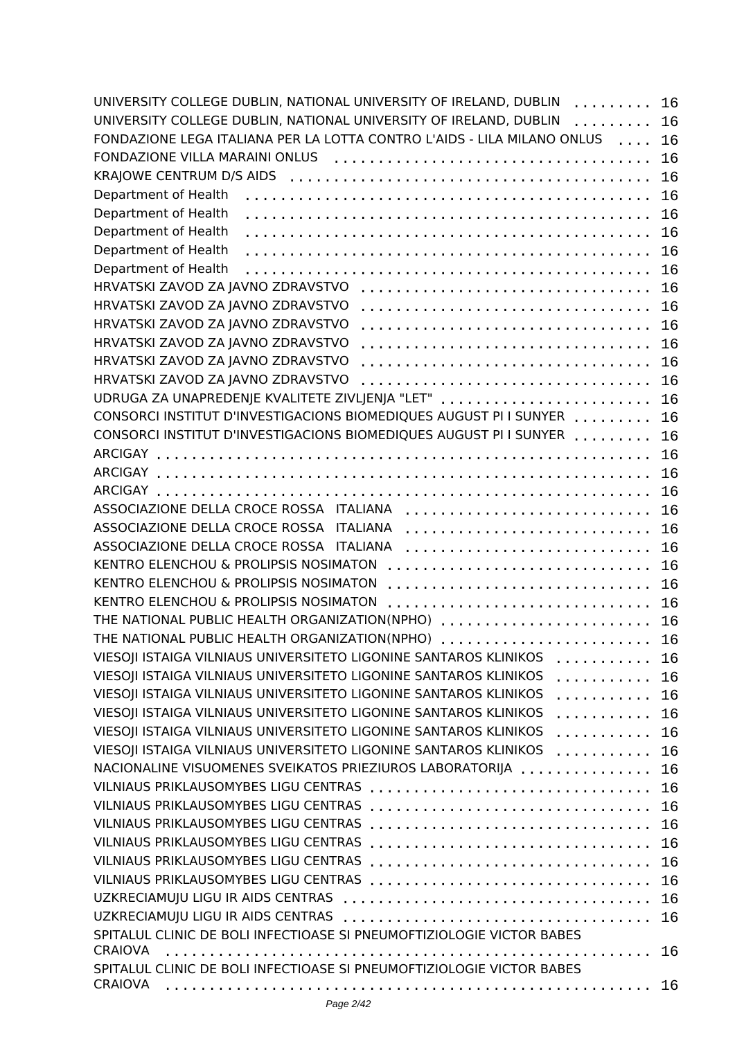| UNIVERSITY COLLEGE DUBLIN, NATIONAL UNIVERSITY OF IRELAND, DUBLIN<br>.                                 | 16 |
|--------------------------------------------------------------------------------------------------------|----|
| UNIVERSITY COLLEGE DUBLIN, NATIONAL UNIVERSITY OF IRELAND, DUBLIN<br>.                                 | 16 |
| FONDAZIONE LEGA ITALIANA PER LA LOTTA CONTRO L'AIDS - LILA MILANO ONLUS<br>$\sim$ $\sim$ $\sim$ $\sim$ | 16 |
| FONDAZIONE VILLA MARAINI ONLUS                                                                         | 16 |
|                                                                                                        | 16 |
| Department of Health                                                                                   | 16 |
| Department of Health                                                                                   | 16 |
| Department of Health                                                                                   | 16 |
| Department of Health                                                                                   | 16 |
| Department of Health                                                                                   | 16 |
| HRVATSKI ZAVOD ZA JAVNO ZDRAVSTVO                                                                      | 16 |
| HRVATSKI ZAVOD ZA JAVNO ZDRAVSTVO                                                                      | 16 |
| HRVATSKI ZAVOD ZA JAVNO ZDRAVSTVO                                                                      | 16 |
| HRVATSKI ZAVOD ZA JAVNO ZDRAVSTVO                                                                      | 16 |
| HRVATSKI ZAVOD ZA JAVNO ZDRAVSTVO                                                                      | 16 |
| HRVATSKI ZAVOD ZA JAVNO ZDRAVSTVO                                                                      | 16 |
| UDRUGA ZA UNAPREDENJE KVALITETE ZIVLJENJA "LET"                                                        | 16 |
| CONSORCI INSTITUT D'INVESTIGACIONS BIOMEDIQUES AUGUST PI I SUNYER                                      | 16 |
| CONSORCI INSTITUT D'INVESTIGACIONS BIOMEDIQUES AUGUST PI I SUNYER                                      | 16 |
|                                                                                                        | 16 |
|                                                                                                        | 16 |
|                                                                                                        | 16 |
| ASSOCIAZIONE DELLA CROCE ROSSA ITALIANA                                                                | 16 |
| ASSOCIAZIONE DELLA CROCE ROSSA<br><b>ITALIANA</b>                                                      | 16 |
| ASSOCIAZIONE DELLA CROCE ROSSA ITALIANA                                                                | 16 |
| KENTRO ELENCHOU & PROLIPSIS NOSIMATON                                                                  | 16 |
| KENTRO ELENCHOU & PROLIPSIS NOSIMATON                                                                  | 16 |
| KENTRO ELENCHOU & PROLIPSIS NOSIMATON                                                                  | 16 |
| THE NATIONAL PUBLIC HEALTH ORGANIZATION(NPHO)                                                          | 16 |
| THE NATIONAL PUBLIC HEALTH ORGANIZATION(NPHO)                                                          | 16 |
| VIESOJI ISTAIGA VILNIAUS UNIVERSITETO LIGONINE SANTAROS KLINIKOS<br>.                                  | 16 |
| VIESOJI ISTAIGA VILNIAUS UNIVERSITETO LIGONINE SANTAROS KLINIKOS<br>.                                  | 16 |
| VIESOJI ISTAIGA VILNIAUS UNIVERSITETO LIGONINE SANTAROS KLINIKOS<br>.                                  | 16 |
| VIESOJI ISTAIGA VILNIAUS UNIVERSITETO LIGONINE SANTAROS KLINIKOS<br>.                                  | 16 |
| VIESOJI ISTAIGA VILNIAUS UNIVERSITETO LIGONINE SANTAROS KLINIKOS<br>.                                  | 16 |
| VIESOJI ISTAIGA VILNIAUS UNIVERSITETO LIGONINE SANTAROS KLINIKOS<br>.                                  | 16 |
| NACIONALINE VISUOMENES SVEIKATOS PRIEZIUROS LABORATORIJA                                               | 16 |
| <b>VILNIAUS PRIKLAUSOMYBES LIGU CENTRAS</b>                                                            | 16 |
| VILNIAUS PRIKLAUSOMYBES LIGU CENTRAS                                                                   | 16 |
| VILNIAUS PRIKLAUSOMYBES LIGU CENTRAS                                                                   | 16 |
| VILNIAUS PRIKLAUSOMYBES LIGU CENTRAS                                                                   | 16 |
| <b>VILNIAUS PRIKLAUSOMYBES LIGU CENTRAS</b>                                                            | 16 |
|                                                                                                        | 16 |
| UZKRECIAMUJU LIGU IR AIDS CENTRAS                                                                      | 16 |
| UZKRECIAMUJU LIGU IR AIDS CENTRAS                                                                      | 16 |
| SPITALUL CLINIC DE BOLI INFECTIOASE SI PNEUMOFTIZIOLOGIE VICTOR BABES                                  |    |
| <b>CRAIOVA</b>                                                                                         | 16 |
| SPITALUL CLINIC DE BOLI INFECTIOASE SI PNEUMOFTIZIOLOGIE VICTOR BABES                                  |    |
| <b>CRAIOVA</b>                                                                                         |    |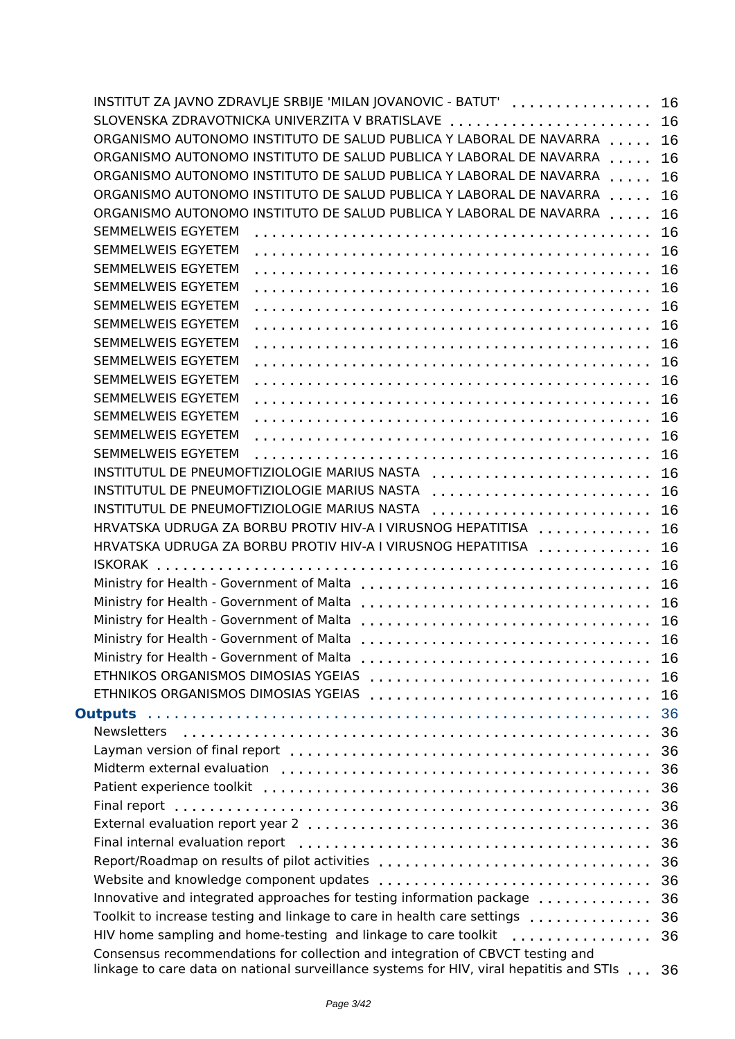| INSTITUT ZA JAVNO ZDRAVLJE SRBIJE 'MILAN JOVANOVIC - BATUT'  16                         |    |
|-----------------------------------------------------------------------------------------|----|
| SLOVENSKA ZDRAVOTNICKA UNIVERZITA V BRATISLAVE  16                                      |    |
| ORGANISMO AUTONOMO INSTITUTO DE SALUD PUBLICA Y LABORAL DE NAVARRA  16                  |    |
| ORGANISMO AUTONOMO INSTITUTO DE SALUD PUBLICA Y LABORAL DE NAVARRA                      | 16 |
| ORGANISMO AUTONOMO INSTITUTO DE SALUD PUBLICA Y LABORAL DE NAVARRA                      | 16 |
| ORGANISMO AUTONOMO INSTITUTO DE SALUD PUBLICA Y LABORAL DE NAVARRA                      | 16 |
| ORGANISMO AUTONOMO INSTITUTO DE SALUD PUBLICA Y LABORAL DE NAVARRA                      | 16 |
| SEMMELWEIS EGYETEM                                                                      |    |
| SEMMELWEIS EGYETEM                                                                      |    |
| SEMMELWEIS EGYETEM                                                                      |    |
| SEMMELWEIS EGYETEM                                                                      |    |
| SEMMELWEIS EGYETEM                                                                      |    |
| SEMMELWEIS EGYETEM                                                                      |    |
| SEMMELWEIS EGYETEM                                                                      |    |
| SEMMELWEIS EGYETEM                                                                      |    |
| SEMMELWEIS EGYETEM                                                                      |    |
| SEMMELWEIS EGYETEM                                                                      |    |
| SEMMELWEIS EGYETEM                                                                      |    |
| SEMMELWEIS EGYETEM                                                                      |    |
| SEMMELWEIS EGYETEM                                                                      |    |
| INSTITUTUL DE PNEUMOFTIZIOLOGIE MARIUS NASTA  16                                        |    |
| INSTITUTUL DE PNEUMOFTIZIOLOGIE MARIUS NASTA  16                                        |    |
| INSTITUTUL DE PNEUMOFTIZIOLOGIE MARIUS NASTA                                            |    |
| HRVATSKA UDRUGA ZA BORBU PROTIV HIV-A I VIRUSNOG HEPATITISA  16                         |    |
| HRVATSKA UDRUGA ZA BORBU PROTIV HIV-A I VIRUSNOG HEPATITISA                             | 16 |
|                                                                                         |    |
|                                                                                         | 16 |
|                                                                                         |    |
|                                                                                         |    |
|                                                                                         |    |
| Ministry for Health - Government of Malta                                               |    |
|                                                                                         | 16 |
|                                                                                         | 16 |
|                                                                                         | 16 |
|                                                                                         | 36 |
| <b>Newsletters</b>                                                                      | 36 |
|                                                                                         | 36 |
|                                                                                         | 36 |
|                                                                                         | 36 |
|                                                                                         | 36 |
|                                                                                         | 36 |
|                                                                                         | 36 |
| Report/Roadmap on results of pilot activities                                           | 36 |
|                                                                                         | 36 |
| Innovative and integrated approaches for testing information package                    | 36 |
| Toolkit to increase testing and linkage to care in health care settings                 | 36 |
| HIV home sampling and home-testing and linkage to care toolkit                          | 36 |
| Consensus recommendations for collection and integration of CBVCT testing and           |    |
| linkage to care data on national surveillance systems for HIV, viral hepatitis and STIs | 36 |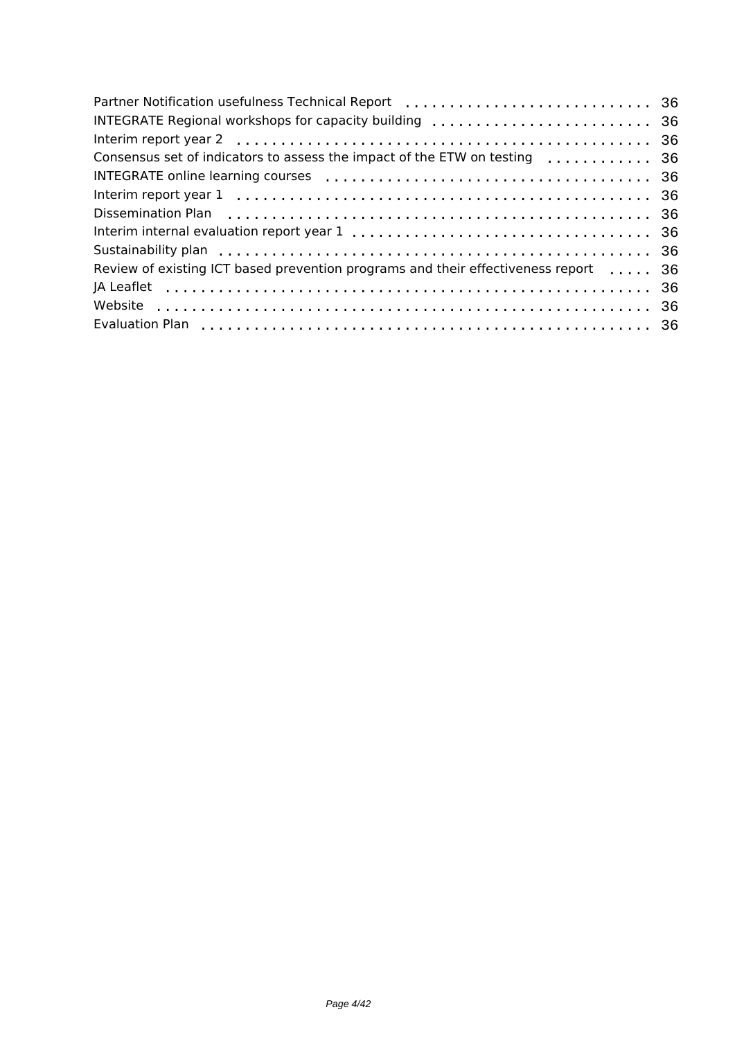| Partner Notification usefulness Technical Report (all containing contained a 36     |  |
|-------------------------------------------------------------------------------------|--|
| INTEGRATE Regional workshops for capacity building  36                              |  |
|                                                                                     |  |
| Consensus set of indicators to assess the impact of the ETW on testing  36          |  |
|                                                                                     |  |
|                                                                                     |  |
|                                                                                     |  |
|                                                                                     |  |
|                                                                                     |  |
| Review of existing ICT based prevention programs and their effectiveness report  36 |  |
|                                                                                     |  |
|                                                                                     |  |
|                                                                                     |  |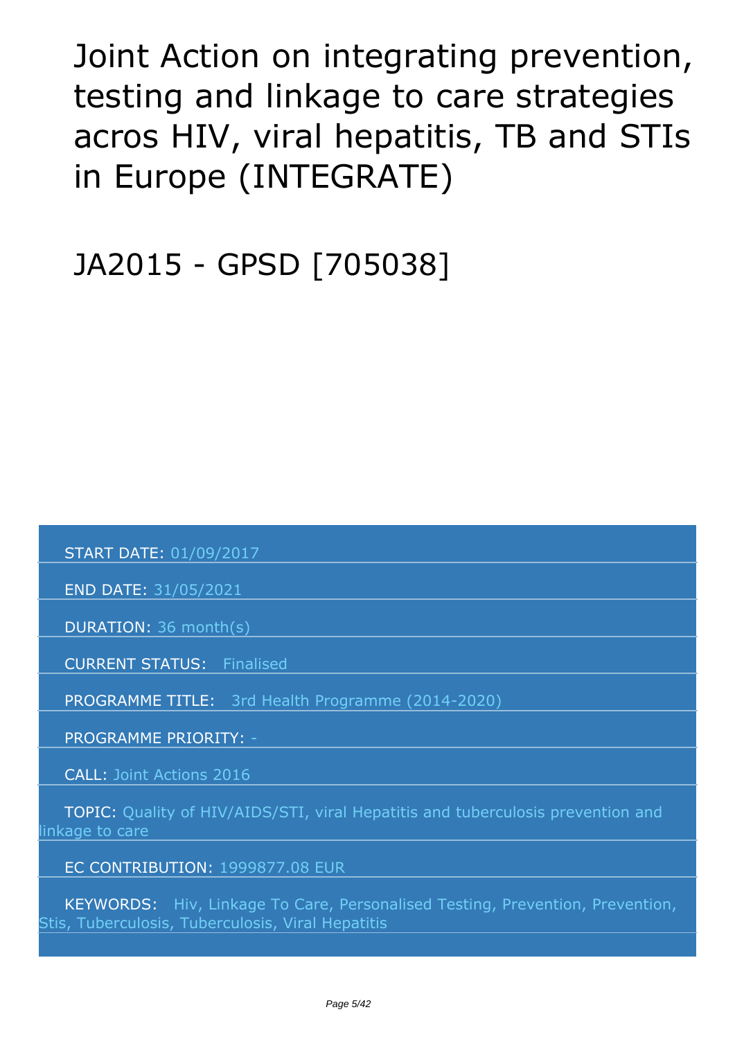# <span id="page-4-0"></span>*Joint Action on integrating prevention, testing and linkage to care strategies acros HIV, viral hepatitis, TB and STIs in Europe (INTEGRATE)*

*JA2015 - GPSD [705038]*

 *START DATE: 01/09/2017*

 *END DATE: 31/05/2021*

 *DURATION: 36 month(s)*

 *CURRENT STATUS: Finalised*

 *PROGRAMME TITLE: 3rd Health Programme (2014-2020)* 

 *PROGRAMME PRIORITY: -*

 *CALL: Joint Actions 2016*

 *TOPIC: Quality of HIV/AIDS/STI, viral Hepatitis and tuberculosis prevention and linkage to care*

 *EC CONTRIBUTION: 1999877.08 EUR*

 *KEYWORDS: Hiv, Linkage To Care, Personalised Testing, Prevention, Prevention, Stis, Tuberculosis, Tuberculosis, Viral Hepatitis*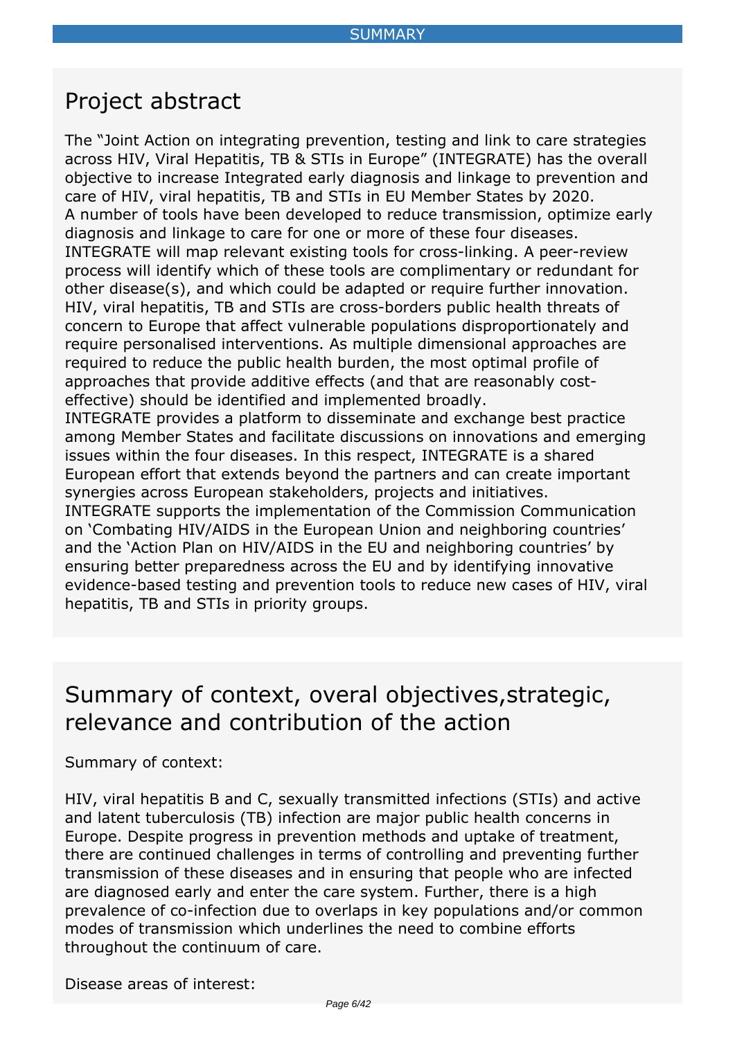### <span id="page-5-0"></span>*Project abstract*

*The "Joint Action on integrating prevention, testing and link to care strategies across HIV, Viral Hepatitis, TB & STIs in Europe" (INTEGRATE) has the overall objective to increase Integrated early diagnosis and linkage to prevention and care of HIV, viral hepatitis, TB and STIs in EU Member States by 2020. A number of tools have been developed to reduce transmission, optimize early diagnosis and linkage to care for one or more of these four diseases. INTEGRATE will map relevant existing tools for cross-linking. A peer-review process will identify which of these tools are complimentary or redundant for other disease(s), and which could be adapted or require further innovation. HIV, viral hepatitis, TB and STIs are cross-borders public health threats of concern to Europe that affect vulnerable populations disproportionately and require personalised interventions. As multiple dimensional approaches are required to reduce the public health burden, the most optimal profile of approaches that provide additive effects (and that are reasonably costeffective) should be identified and implemented broadly. INTEGRATE provides a platform to disseminate and exchange best practice among Member States and facilitate discussions on innovations and emerging*

*issues within the four diseases. In this respect, INTEGRATE is a shared European effort that extends beyond the partners and can create important synergies across European stakeholders, projects and initiatives.*

*INTEGRATE supports the implementation of the Commission Communication on 'Combating HIV/AIDS in the European Union and neighboring countries' and the 'Action Plan on HIV/AIDS in the EU and neighboring countries' by ensuring better preparedness across the EU and by identifying innovative evidence-based testing and prevention tools to reduce new cases of HIV, viral hepatitis, TB and STIs in priority groups.*

### *Summary of context, overal objectives,strategic, relevance and contribution of the action*

#### *Summary of context:*

*HIV, viral hepatitis B and C, sexually transmitted infections (STIs) and active and latent tuberculosis (TB) infection are major public health concerns in Europe. Despite progress in prevention methods and uptake of treatment, there are continued challenges in terms of controlling and preventing further transmission of these diseases and in ensuring that people who are infected are diagnosed early and enter the care system. Further, there is a high prevalence of co-infection due to overlaps in key populations and/or common modes of transmission which underlines the need to combine efforts throughout the continuum of care.*

*Disease areas of interest:*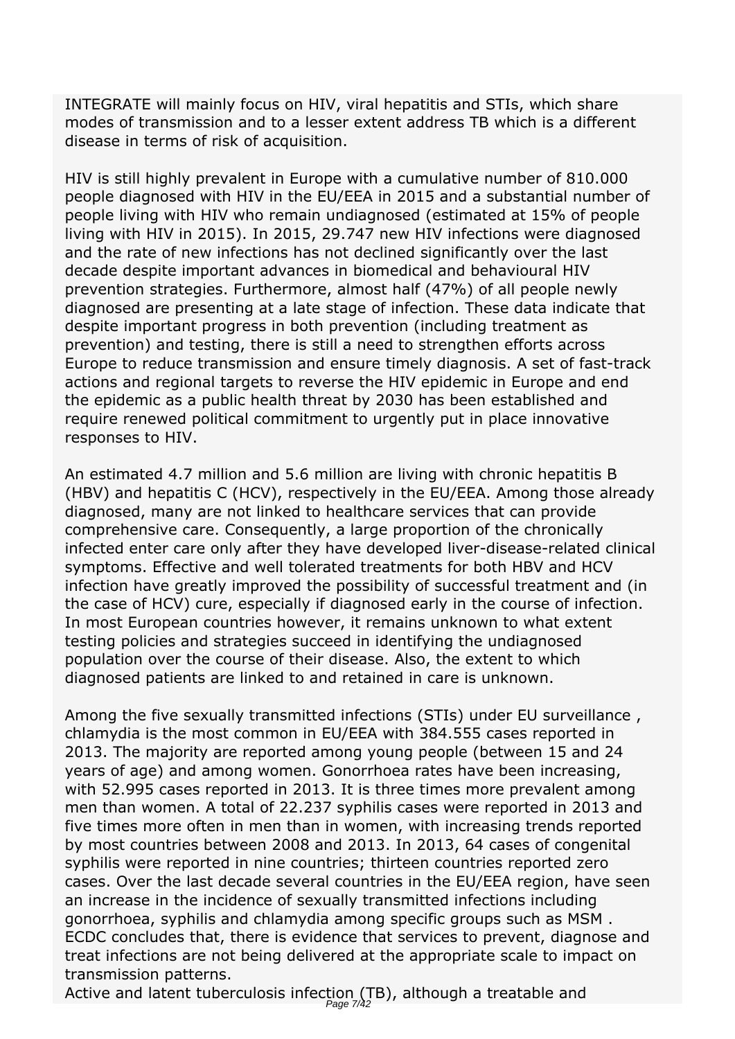*INTEGRATE will mainly focus on HIV, viral hepatitis and STIs, which share modes of transmission and to a lesser extent address TB which is a different disease in terms of risk of acquisition.*

*HIV is still highly prevalent in Europe with a cumulative number of 810.000 people diagnosed with HIV in the EU/EEA in 2015 and a substantial number of people living with HIV who remain undiagnosed (estimated at 15% of people living with HIV in 2015). In 2015, 29.747 new HIV infections were diagnosed and the rate of new infections has not declined significantly over the last decade despite important advances in biomedical and behavioural HIV prevention strategies. Furthermore, almost half (47%) of all people newly diagnosed are presenting at a late stage of infection. These data indicate that despite important progress in both prevention (including treatment as prevention) and testing, there is still a need to strengthen efforts across Europe to reduce transmission and ensure timely diagnosis. A set of fast-track actions and regional targets to reverse the HIV epidemic in Europe and end the epidemic as a public health threat by 2030 has been established and require renewed political commitment to urgently put in place innovative responses to HIV.*

*An estimated 4.7 million and 5.6 million are living with chronic hepatitis B (HBV) and hepatitis C (HCV), respectively in the EU/EEA. Among those already diagnosed, many are not linked to healthcare services that can provide comprehensive care. Consequently, a large proportion of the chronically infected enter care only after they have developed liver-disease-related clinical symptoms. Effective and well tolerated treatments for both HBV and HCV infection have greatly improved the possibility of successful treatment and (in the case of HCV) cure, especially if diagnosed early in the course of infection. In most European countries however, it remains unknown to what extent testing policies and strategies succeed in identifying the undiagnosed population over the course of their disease. Also, the extent to which diagnosed patients are linked to and retained in care is unknown.*

*Among the five sexually transmitted infections (STIs) under EU surveillance , chlamydia is the most common in EU/EEA with 384.555 cases reported in 2013. The majority are reported among young people (between 15 and 24 years of age) and among women. Gonorrhoea rates have been increasing, with 52.995 cases reported in 2013. It is three times more prevalent among men than women. A total of 22.237 syphilis cases were reported in 2013 and five times more often in men than in women, with increasing trends reported by most countries between 2008 and 2013. In 2013, 64 cases of congenital syphilis were reported in nine countries; thirteen countries reported zero cases. Over the last decade several countries in the EU/EEA region, have seen an increase in the incidence of sexually transmitted infections including gonorrhoea, syphilis and chlamydia among specific groups such as MSM . ECDC concludes that, there is evidence that services to prevent, diagnose and treat infections are not being delivered at the appropriate scale to impact on transmission patterns.*

*Active and latent tuberculosis infection (TB), although a treatable and* Page 7/42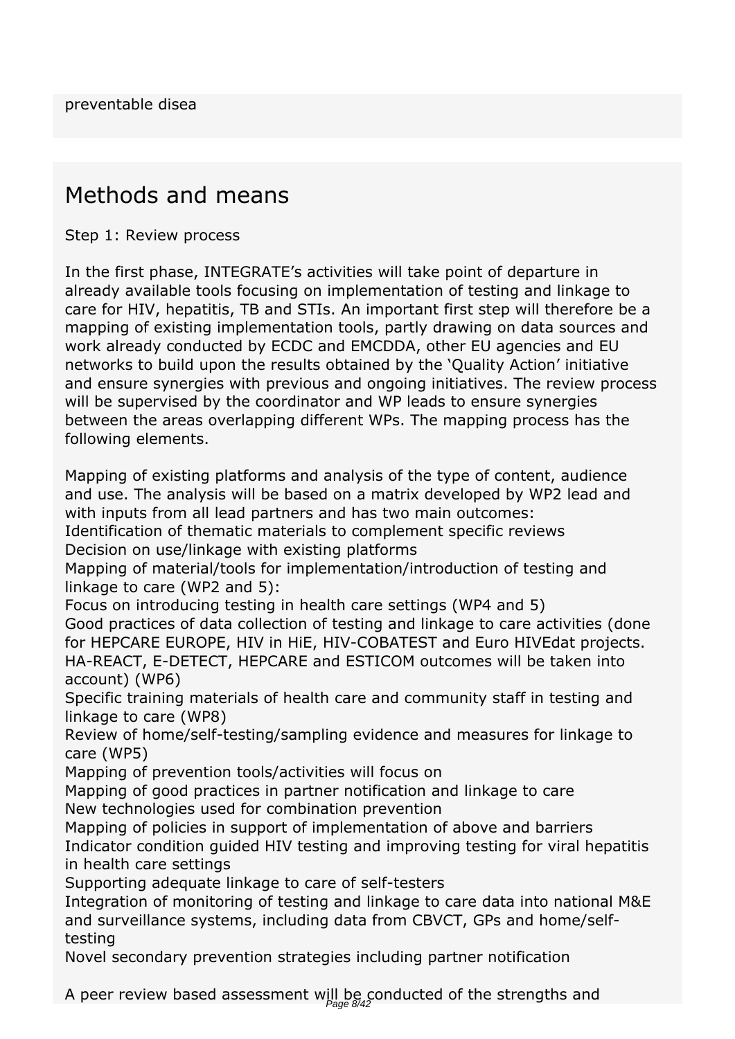### *Methods and means*

*Step 1: Review process*

*In the first phase, INTEGRATE's activities will take point of departure in already available tools focusing on implementation of testing and linkage to care for HIV, hepatitis, TB and STIs. An important first step will therefore be a mapping of existing implementation tools, partly drawing on data sources and work already conducted by ECDC and EMCDDA, other EU agencies and EU networks to build upon the results obtained by the 'Quality Action' initiative and ensure synergies with previous and ongoing initiatives. The review process will be supervised by the coordinator and WP leads to ensure synergies between the areas overlapping different WPs. The mapping process has the following elements.*

*Mapping of existing platforms and analysis of the type of content, audience and use. The analysis will be based on a matrix developed by WP2 lead and with inputs from all lead partners and has two main outcomes:*

*Identification of thematic materials to complement specific reviews Decision on use/linkage with existing platforms*

*Mapping of material/tools for implementation/introduction of testing and linkage to care (WP2 and 5):*

*Focus on introducing testing in health care settings (WP4 and 5) Good practices of data collection of testing and linkage to care activities (done for HEPCARE EUROPE, HIV in HiE, HIV-COBATEST and Euro HIVEdat projects. HA-REACT, E-DETECT, HEPCARE and ESTICOM outcomes will be taken into account) (WP6)*

*Specific training materials of health care and community staff in testing and linkage to care (WP8)*

*Review of home/self-testing/sampling evidence and measures for linkage to care (WP5)*

*Mapping of prevention tools/activities will focus on*

*Mapping of good practices in partner notification and linkage to care New technologies used for combination prevention*

*Mapping of policies in support of implementation of above and barriers Indicator condition guided HIV testing and improving testing for viral hepatitis in health care settings*

*Supporting adequate linkage to care of self-testers*

*Integration of monitoring of testing and linkage to care data into national M&E and surveillance systems, including data from CBVCT, GPs and home/selftesting*

*Novel secondary prevention strategies including partner notification*

A peer review based assessment will be conducted of the strengths and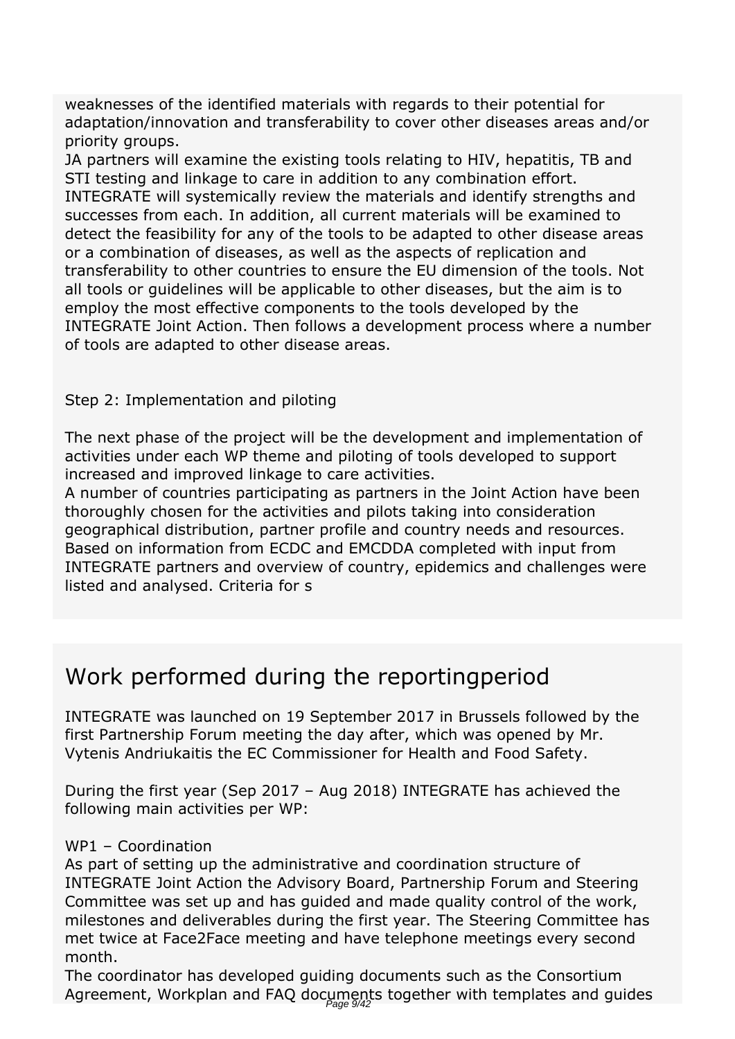*weaknesses of the identified materials with regards to their potential for adaptation/innovation and transferability to cover other diseases areas and/or priority groups.*

*JA partners will examine the existing tools relating to HIV, hepatitis, TB and STI testing and linkage to care in addition to any combination effort. INTEGRATE will systemically review the materials and identify strengths and successes from each. In addition, all current materials will be examined to detect the feasibility for any of the tools to be adapted to other disease areas or a combination of diseases, as well as the aspects of replication and transferability to other countries to ensure the EU dimension of the tools. Not all tools or guidelines will be applicable to other diseases, but the aim is to employ the most effective components to the tools developed by the INTEGRATE Joint Action. Then follows a development process where a number of tools are adapted to other disease areas.*

#### *Step 2: Implementation and piloting*

*The next phase of the project will be the development and implementation of activities under each WP theme and piloting of tools developed to support increased and improved linkage to care activities.*

*A number of countries participating as partners in the Joint Action have been thoroughly chosen for the activities and pilots taking into consideration geographical distribution, partner profile and country needs and resources. Based on information from ECDC and EMCDDA completed with input from INTEGRATE partners and overview of country, epidemics and challenges were listed and analysed. Criteria for s*

### *Work performed during the reportingperiod*

*INTEGRATE was launched on 19 September 2017 in Brussels followed by the first Partnership Forum meeting the day after, which was opened by Mr. Vytenis Andriukaitis the EC Commissioner for Health and Food Safety.*

*During the first year (Sep 2017 – Aug 2018) INTEGRATE has achieved the following main activities per WP:*

#### *WP1 – Coordination*

*As part of setting up the administrative and coordination structure of INTEGRATE Joint Action the Advisory Board, Partnership Forum and Steering Committee was set up and has guided and made quality control of the work, milestones and deliverables during the first year. The Steering Committee has met twice at Face2Face meeting and have telephone meetings every second month.*

*The coordinator has developed guiding documents such as the Consortium* Agreement, Workplan and FAQ documents together with templates and guides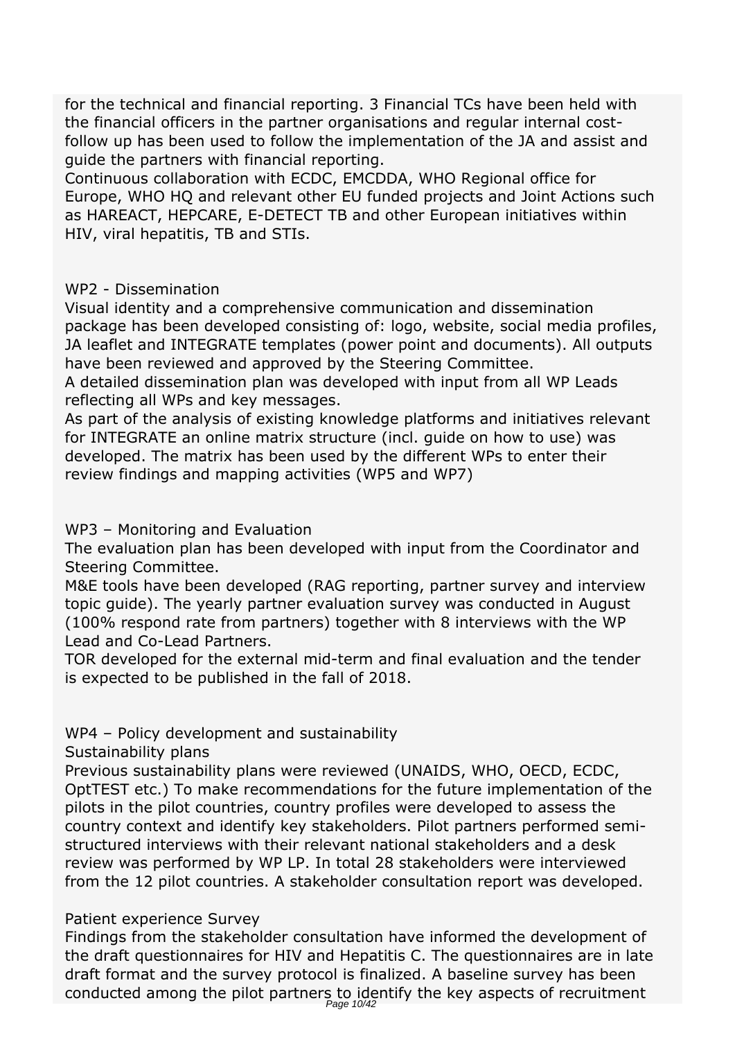*for the technical and financial reporting. 3 Financial TCs have been held with the financial officers in the partner organisations and regular internal costfollow up has been used to follow the implementation of the JA and assist and guide the partners with financial reporting.*

*Continuous collaboration with ECDC, EMCDDA, WHO Regional office for Europe, WHO HQ and relevant other EU funded projects and Joint Actions such as HAREACT, HEPCARE, E-DETECT TB and other European initiatives within HIV, viral hepatitis, TB and STIs.*

#### *WP2 - Dissemination*

*Visual identity and a comprehensive communication and dissemination package has been developed consisting of: logo, website, social media profiles, JA leaflet and INTEGRATE templates (power point and documents). All outputs have been reviewed and approved by the Steering Committee.*

*A detailed dissemination plan was developed with input from all WP Leads reflecting all WPs and key messages.*

*As part of the analysis of existing knowledge platforms and initiatives relevant for INTEGRATE an online matrix structure (incl. guide on how to use) was developed. The matrix has been used by the different WPs to enter their review findings and mapping activities (WP5 and WP7)*

*WP3 – Monitoring and Evaluation*

*The evaluation plan has been developed with input from the Coordinator and Steering Committee.*

*M&E tools have been developed (RAG reporting, partner survey and interview topic guide). The yearly partner evaluation survey was conducted in August (100% respond rate from partners) together with 8 interviews with the WP Lead and Co-Lead Partners.*

*TOR developed for the external mid-term and final evaluation and the tender is expected to be published in the fall of 2018.*

*WP4 – Policy development and sustainability*

*Sustainability plans*

*Previous sustainability plans were reviewed (UNAIDS, WHO, OECD, ECDC, OptTEST etc.) To make recommendations for the future implementation of the pilots in the pilot countries, country profiles were developed to assess the country context and identify key stakeholders. Pilot partners performed semistructured interviews with their relevant national stakeholders and a desk review was performed by WP LP. In total 28 stakeholders were interviewed from the 12 pilot countries. A stakeholder consultation report was developed.*

#### *Patient experience Survey*

*Findings from the stakeholder consultation have informed the development of the draft questionnaires for HIV and Hepatitis C. The questionnaires are in late draft format and the survey protocol is finalized. A baseline survey has been conducted among the pilot partners to identify the key aspects of recruitment* Page 10/42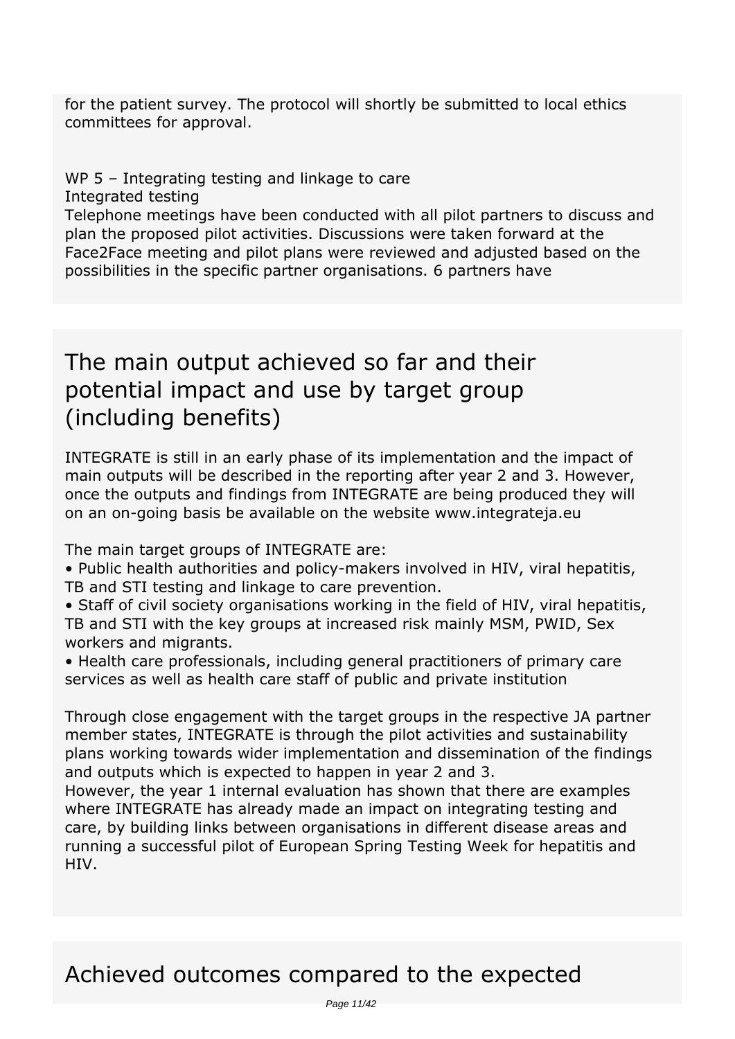*for the patient survey. The protocol will shortly be submitted to local ethics committees for approval.*

### *WP 5 – Integrating testing and linkage to care*

*Integrated testing*

*Telephone meetings have been conducted with all pilot partners to discuss and plan the proposed pilot activities. Discussions were taken forward at the Face2Face meeting and pilot plans were reviewed and adjusted based on the possibilities in the specific partner organisations. 6 partners have*

### *The main output achieved so far and their potential impact and use by target group (including benefits)*

*INTEGRATE is still in an early phase of its implementation and the impact of main outputs will be described in the reporting after year 2 and 3. However, once the outputs and findings from INTEGRATE are being produced they will on an on-going basis be available on the website www.integrateja.eu*

*The main target groups of INTEGRATE are:*

*• Public health authorities and policy-makers involved in HIV, viral hepatitis, TB and STI testing and linkage to care prevention.*

*• Staff of civil society organisations working in the field of HIV, viral hepatitis, TB and STI with the key groups at increased risk mainly MSM, PWID, Sex workers and migrants.*

*• Health care professionals, including general practitioners of primary care services as well as health care staff of public and private institution*

*Through close engagement with the target groups in the respective JA partner member states, INTEGRATE is through the pilot activities and sustainability plans working towards wider implementation and dissemination of the findings and outputs which is expected to happen in year 2 and 3.*

*However, the year 1 internal evaluation has shown that there are examples where INTEGRATE has already made an impact on integrating testing and care, by building links between organisations in different disease areas and running a successful pilot of European Spring Testing Week for hepatitis and HIV.*

### *Achieved outcomes compared to the expected*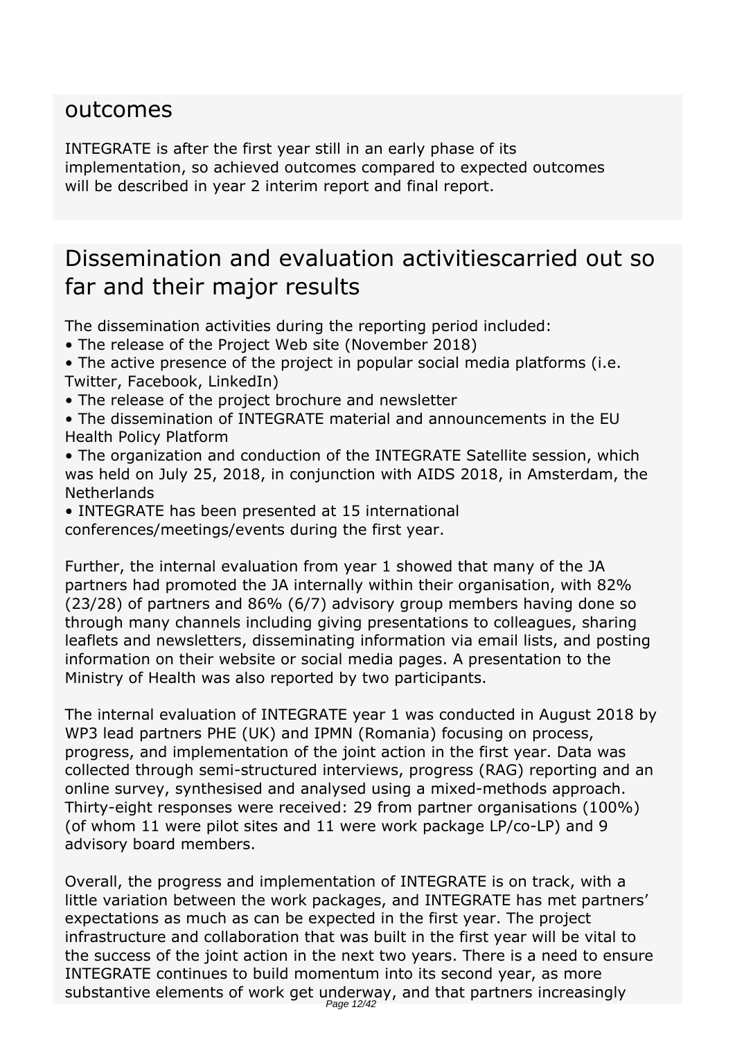### *outcomes*

*INTEGRATE is after the first year still in an early phase of its implementation, so achieved outcomes compared to expected outcomes will be described in year 2 interim report and final report.*

### *Dissemination and evaluation activitiescarried out so far and their major results*

*The dissemination activities during the reporting period included:*

- *The release of the Project Web site (November 2018)*
- *The active presence of the project in popular social media platforms (i.e. Twitter, Facebook, LinkedIn)*
- *The release of the project brochure and newsletter*
- *The dissemination of INTEGRATE material and announcements in the EU Health Policy Platform*
- *The organization and conduction of the INTEGRATE Satellite session, which was held on July 25, 2018, in conjunction with AIDS 2018, in Amsterdam, the Netherlands*
- *INTEGRATE has been presented at 15 international conferences/meetings/events during the first year.*

*Further, the internal evaluation from year 1 showed that many of the JA partners had promoted the JA internally within their organisation, with 82% (23/28) of partners and 86% (6/7) advisory group members having done so through many channels including giving presentations to colleagues, sharing leaflets and newsletters, disseminating information via email lists, and posting information on their website or social media pages. A presentation to the Ministry of Health was also reported by two participants.*

*The internal evaluation of INTEGRATE year 1 was conducted in August 2018 by WP3 lead partners PHE (UK) and IPMN (Romania) focusing on process, progress, and implementation of the joint action in the first year. Data was collected through semi-structured interviews, progress (RAG) reporting and an online survey, synthesised and analysed using a mixed-methods approach. Thirty-eight responses were received: 29 from partner organisations (100%) (of whom 11 were pilot sites and 11 were work package LP/co-LP) and 9 advisory board members.*

*Overall, the progress and implementation of INTEGRATE is on track, with a little variation between the work packages, and INTEGRATE has met partners' expectations as much as can be expected in the first year. The project infrastructure and collaboration that was built in the first year will be vital to the success of the joint action in the next two years. There is a need to ensure INTEGRATE continues to build momentum into its second year, as more* substantive elements of work get underway, and that partners increasingly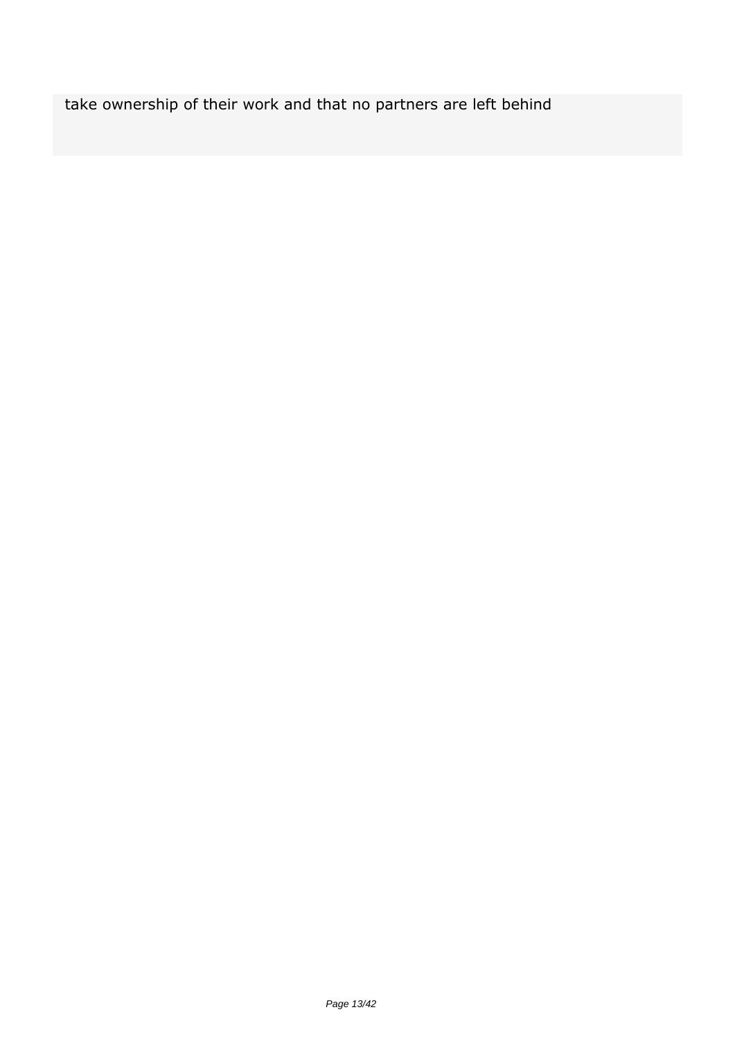*take ownership of their work and that no partners are left behind*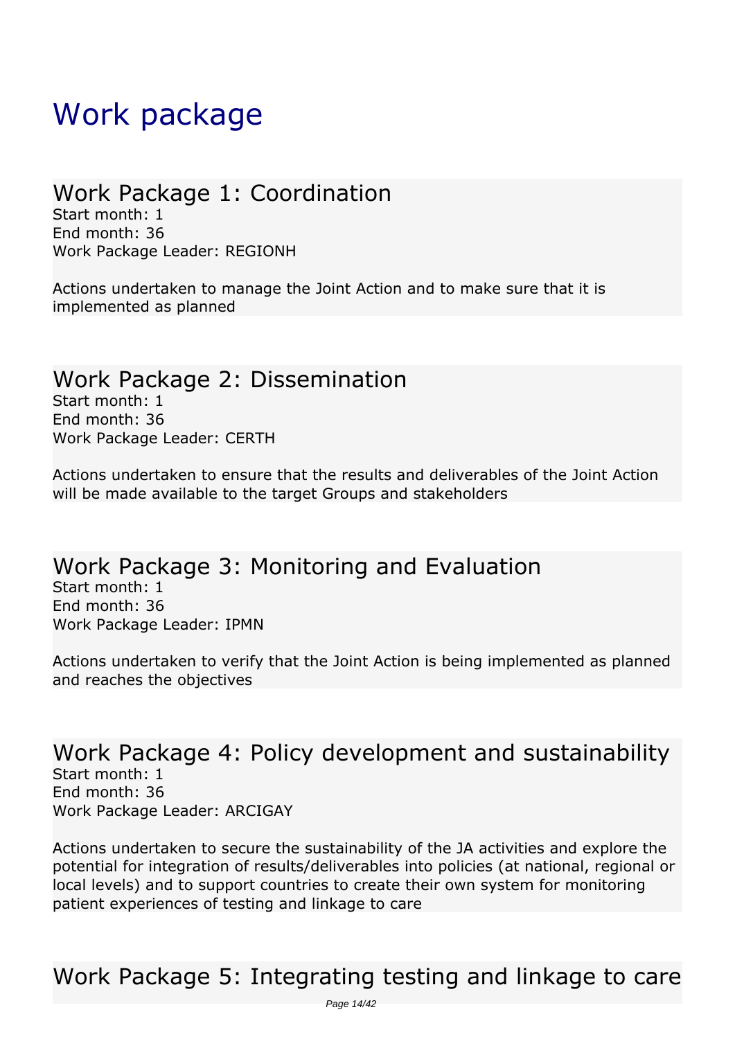# <span id="page-13-0"></span>*Work package*

### *Work Package 1: Coordination*

*Start month: 1 End month: 36 Work Package Leader: REGIONH*

*Actions undertaken to manage the Joint Action and to make sure that it is implemented as planned* 

### *Work Package 2: Dissemination*

*Start month: 1 End month: 36 Work Package Leader: CERTH*

*Actions undertaken to ensure that the results and deliverables of the Joint Action will be made available to the target Groups and stakeholders* 

### *Work Package 3: Monitoring and Evaluation*

*Start month: 1 End month: 36 Work Package Leader: IPMN*

*Actions undertaken to verify that the Joint Action is being implemented as planned and reaches the objectives* 

#### *Work Package 4: Policy development and sustainability Start month: 1 End month: 36 Work Package Leader: ARCIGAY*

*Actions undertaken to secure the sustainability of the JA activities and explore the potential for integration of results/deliverables into policies (at national, regional or local levels) and to support countries to create their own system for monitoring patient experiences of testing and linkage to care* 

### *Work Package 5: Integrating testing and linkage to care*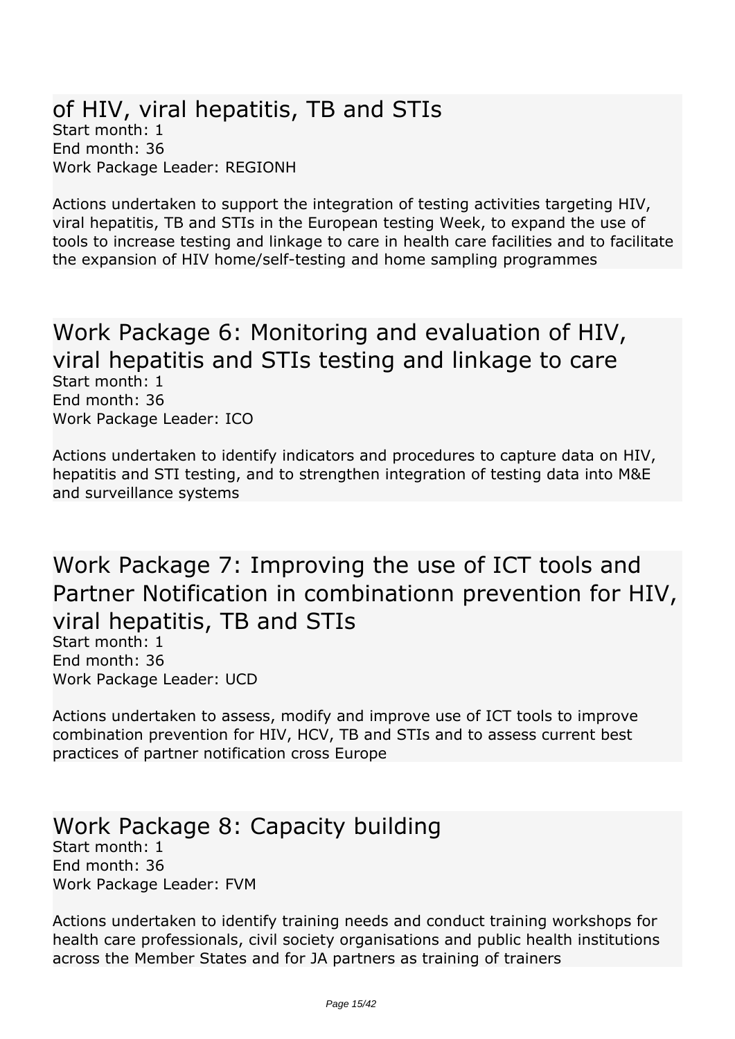#### *of HIV, viral hepatitis, TB and STIs Start month: 1 End month: 36 Work Package Leader: REGIONH*

*Actions undertaken to support the integration of testing activities targeting HIV, viral hepatitis, TB and STIs in the European testing Week, to expand the use of tools to increase testing and linkage to care in health care facilities and to facilitate the expansion of HIV home/self-testing and home sampling programmes* 

#### *Work Package 6: Monitoring and evaluation of HIV, viral hepatitis and STIs testing and linkage to care Start month: 1 End month: 36 Work Package Leader: ICO*

*Actions undertaken to identify indicators and procedures to capture data on HIV, hepatitis and STI testing, and to strengthen integration of testing data into M&E and surveillance systems* 

*Work Package 7: Improving the use of ICT tools and Partner Notification in combinationn prevention for HIV, viral hepatitis, TB and STIs*

*Start month: 1 End month: 36 Work Package Leader: UCD*

*Actions undertaken to assess, modify and improve use of ICT tools to improve combination prevention for HIV, HCV, TB and STIs and to assess current best practices of partner notification cross Europe* 

#### *Work Package 8: Capacity building Start month: 1 End month: 36 Work Package Leader: FVM*

*Actions undertaken to identify training needs and conduct training workshops for health care professionals, civil society organisations and public health institutions across the Member States and for JA partners as training of trainers*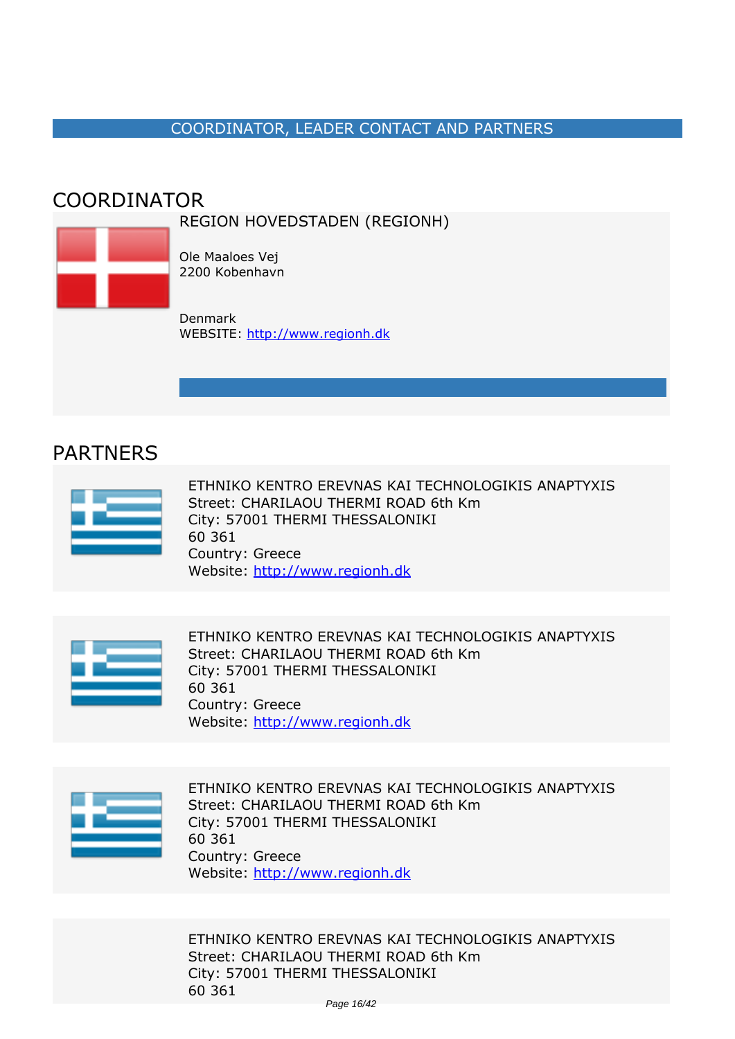#### *COORDINATOR, LEADER CONTACT AND PARTNERS*

### <span id="page-15-0"></span>*COORDINATOR*





*Denmark WEBSITE:* <http://www.regionh.dk>

### *PARTNERS*



*ETHNIKO KENTRO EREVNAS KAI TECHNOLOGIKIS ANAPTYXIS Street: CHARILAOU THERMI ROAD 6th Km City: 57001 THERMI THESSALONIKI 60 361 Country: Greece Website:* http://www.regionh.dk



*ETHNIKO KENTRO EREVNAS KAI TECHNOLOGIKIS ANAPTYXIS Street: CHARILAOU THERMI ROAD 6th Km City: 57001 THERMI THESSALONIKI 60 361 Country: Greece Website:* http://www.regionh.dk



*ETHNIKO KENTRO EREVNAS KAI TECHNOLOGIKIS ANAPTYXIS Street: CHARILAOU THERMI ROAD 6th Km City: 57001 THERMI THESSALONIKI 60 361 Country: Greece Website:* http://www.regionh.dk

*ETHNIKO KENTRO EREVNAS KAI TECHNOLOGIKIS ANAPTYXIS Street: CHARILAOU THERMI ROAD 6th Km City: 57001 THERMI THESSALONIKI 60 361*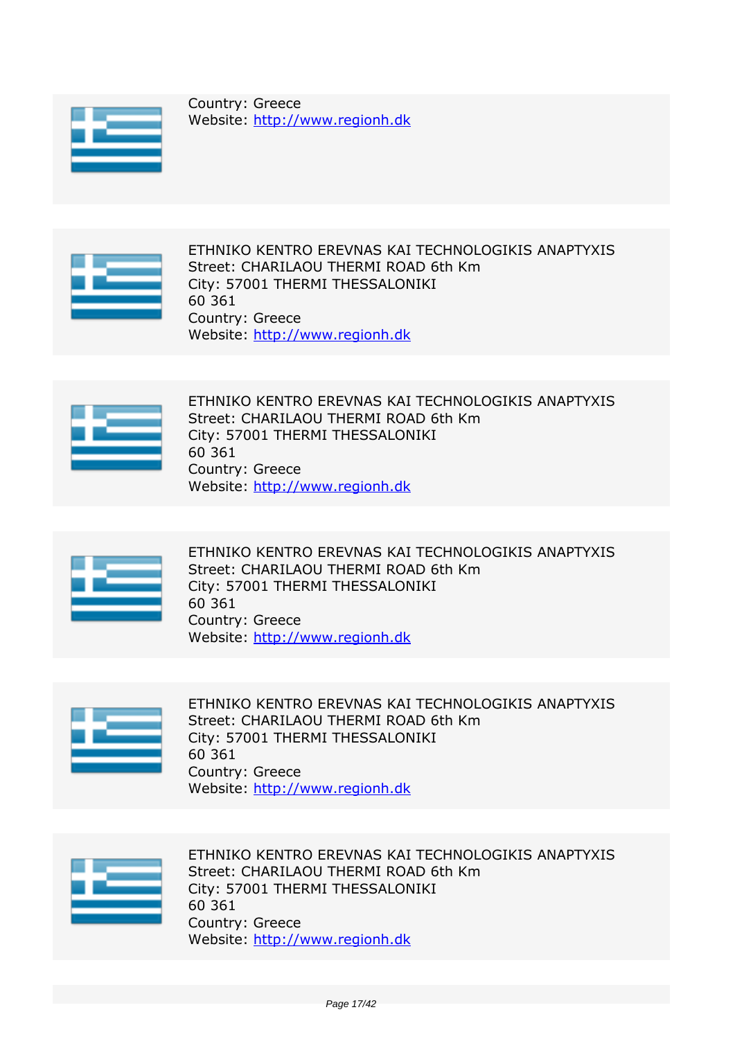

*Country: Greece Website:* http://www.regionh.dk



*ETHNIKO KENTRO EREVNAS KAI TECHNOLOGIKIS ANAPTYXIS Street: CHARILAOU THERMI ROAD 6th Km City: 57001 THERMI THESSALONIKI 60 361 Country: Greece Website:* http://www.regionh.dk



*ETHNIKO KENTRO EREVNAS KAI TECHNOLOGIKIS ANAPTYXIS Street: CHARILAOU THERMI ROAD 6th Km City: 57001 THERMI THESSALONIKI 60 361 Country: Greece Website:* http://www.regionh.dk



*ETHNIKO KENTRO EREVNAS KAI TECHNOLOGIKIS ANAPTYXIS Street: CHARILAOU THERMI ROAD 6th Km City: 57001 THERMI THESSALONIKI 60 361 Country: Greece Website:* http://www.regionh.dk



*ETHNIKO KENTRO EREVNAS KAI TECHNOLOGIKIS ANAPTYXIS Street: CHARILAOU THERMI ROAD 6th Km City: 57001 THERMI THESSALONIKI 60 361 Country: Greece Website:* http://www.regionh.dk



*ETHNIKO KENTRO EREVNAS KAI TECHNOLOGIKIS ANAPTYXIS Street: CHARILAOU THERMI ROAD 6th Km City: 57001 THERMI THESSALONIKI 60 361 Country: Greece Website:* http://www.regionh.dk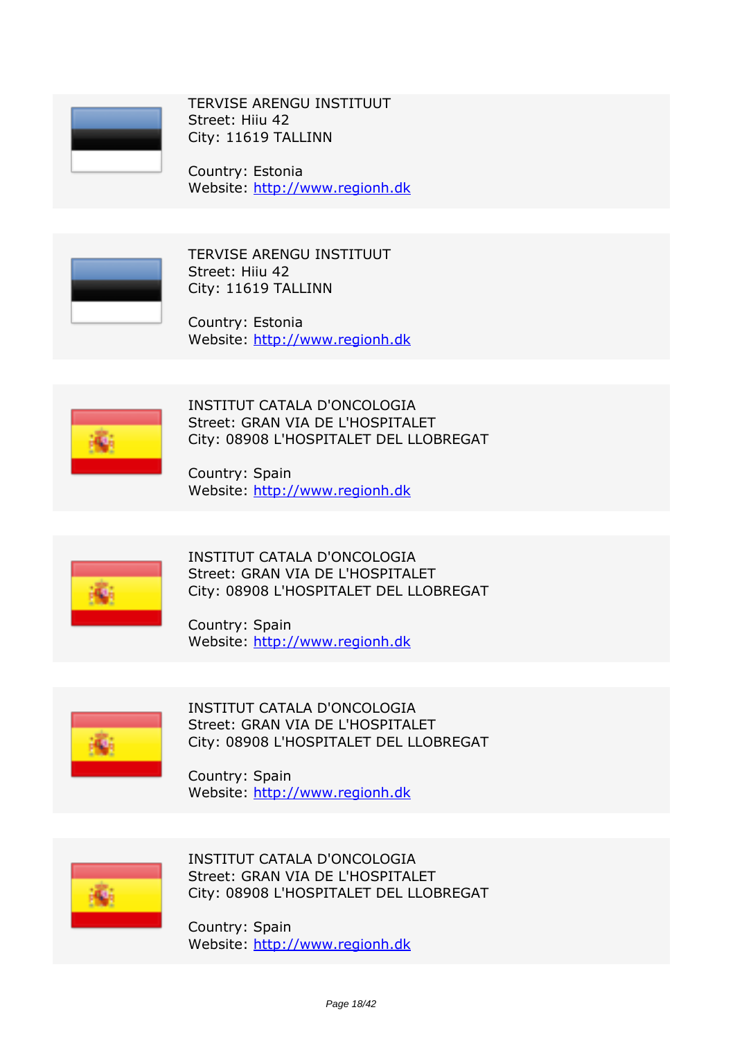

*TERVISE ARENGU INSTITUUT Street: Hiiu 42 City: 11619 TALLINN*

*Country: Estonia Website:* http://www.regionh.dk



*TERVISE ARENGU INSTITUUT Street: Hiiu 42 City: 11619 TALLINN*

*Country: Estonia Website:* http://www.regionh.dk



*INSTITUT CATALA D'ONCOLOGIA Street: GRAN VIA DE L'HOSPITALET City: 08908 L'HOSPITALET DEL LLOBREGAT*

*Country: Spain Website:* http://www.regionh.dk



*INSTITUT CATALA D'ONCOLOGIA Street: GRAN VIA DE L'HOSPITALET City: 08908 L'HOSPITALET DEL LLOBREGAT*

*Country: Spain Website:* http://www.regionh.dk



*INSTITUT CATALA D'ONCOLOGIA Street: GRAN VIA DE L'HOSPITALET City: 08908 L'HOSPITALET DEL LLOBREGAT*

*Country: Spain Website:* http://www.regionh.dk



*INSTITUT CATALA D'ONCOLOGIA Street: GRAN VIA DE L'HOSPITALET City: 08908 L'HOSPITALET DEL LLOBREGAT*

*Country: Spain Website:* http://www.regionh.dk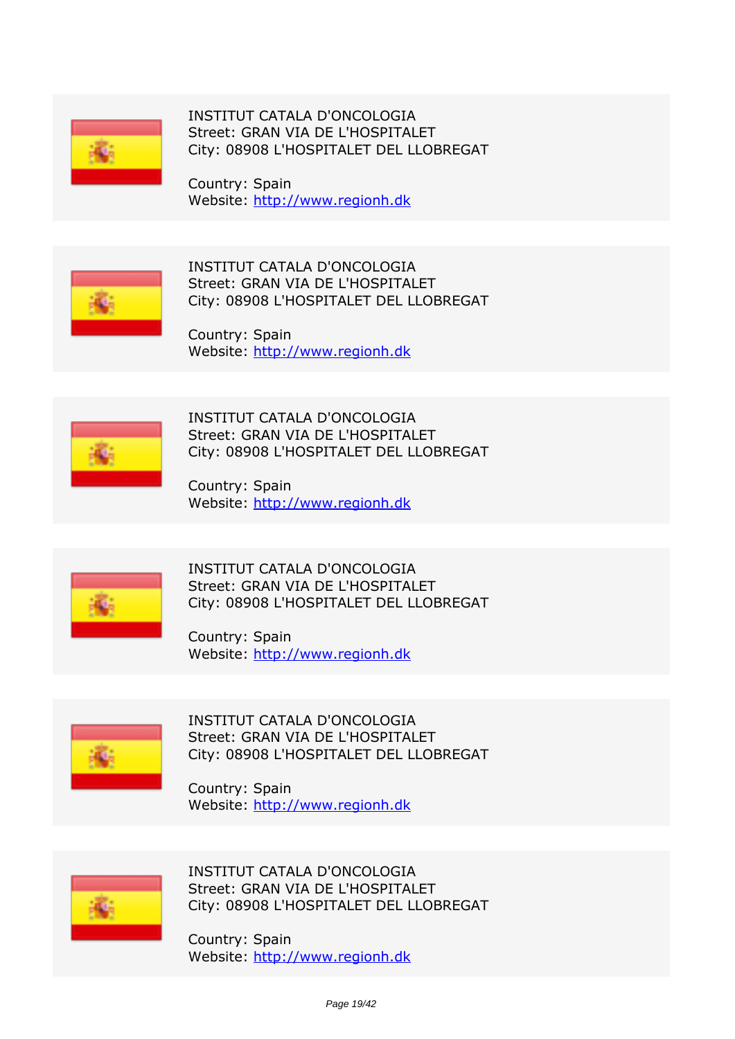

*INSTITUT CATALA D'ONCOLOGIA Street: GRAN VIA DE L'HOSPITALET City: 08908 L'HOSPITALET DEL LLOBREGAT*

*Country: Spain Website:* http://www.regionh.dk



*INSTITUT CATALA D'ONCOLOGIA Street: GRAN VIA DE L'HOSPITALET City: 08908 L'HOSPITALET DEL LLOBREGAT*

*Country: Spain Website:* http://www.regionh.dk



*INSTITUT CATALA D'ONCOLOGIA Street: GRAN VIA DE L'HOSPITALET City: 08908 L'HOSPITALET DEL LLOBREGAT*

*Country: Spain Website:* http://www.regionh.dk



*INSTITUT CATALA D'ONCOLOGIA Street: GRAN VIA DE L'HOSPITALET City: 08908 L'HOSPITALET DEL LLOBREGAT*

*Country: Spain Website:* http://www.regionh.dk



*INSTITUT CATALA D'ONCOLOGIA Street: GRAN VIA DE L'HOSPITALET City: 08908 L'HOSPITALET DEL LLOBREGAT*

*Country: Spain Website:* http://www.regionh.dk



*INSTITUT CATALA D'ONCOLOGIA Street: GRAN VIA DE L'HOSPITALET City: 08908 L'HOSPITALET DEL LLOBREGAT*

*Country: Spain Website:* http://www.regionh.dk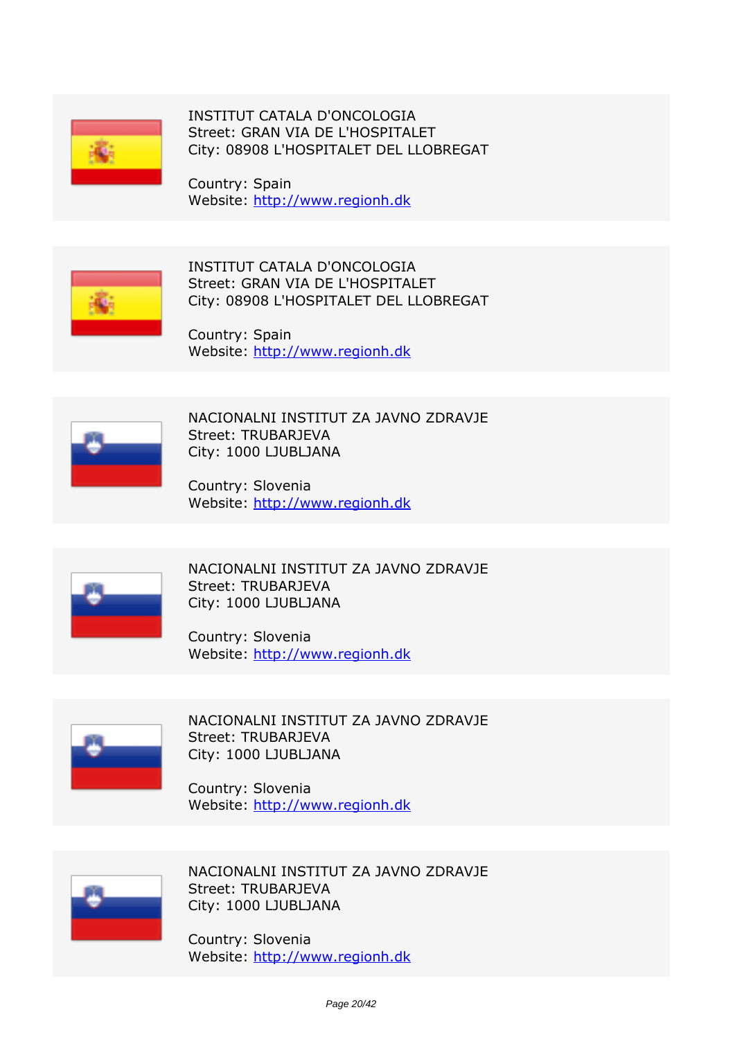

*INSTITUT CATALA D'ONCOLOGIA Street: GRAN VIA DE L'HOSPITALET City: 08908 L'HOSPITALET DEL LLOBREGAT*

*Country: Spain Website:* http://www.regionh.dk



*INSTITUT CATALA D'ONCOLOGIA Street: GRAN VIA DE L'HOSPITALET City: 08908 L'HOSPITALET DEL LLOBREGAT*

*Country: Spain Website:* http://www.regionh.dk



*NACIONALNI INSTITUT ZA JAVNO ZDRAVJE Street: TRUBARJEVA City: 1000 LJUBLJANA*

*Country: Slovenia Website:* http://www.regionh.dk



*NACIONALNI INSTITUT ZA JAVNO ZDRAVJE Street: TRUBARJEVA City: 1000 LJUBLJANA*

*Country: Slovenia Website:* http://www.regionh.dk



*NACIONALNI INSTITUT ZA JAVNO ZDRAVJE Street: TRUBARJEVA City: 1000 LJUBLJANA*

*Country: Slovenia Website:* http://www.regionh.dk



*NACIONALNI INSTITUT ZA JAVNO ZDRAVJE Street: TRUBARJEVA City: 1000 LJUBLJANA*

*Country: Slovenia Website:* http://www.regionh.dk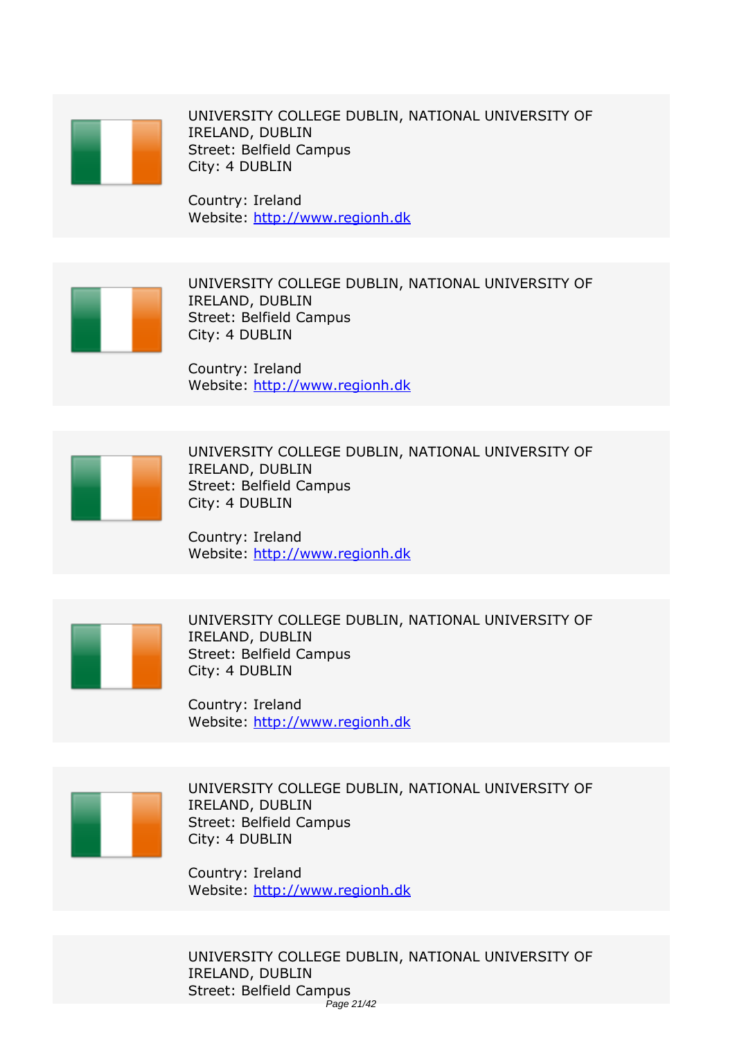

*UNIVERSITY COLLEGE DUBLIN, NATIONAL UNIVERSITY OF IRELAND, DUBLIN Street: Belfield Campus City: 4 DUBLIN*

*Country: Ireland Website:* http://www.regionh.dk



*UNIVERSITY COLLEGE DUBLIN, NATIONAL UNIVERSITY OF IRELAND, DUBLIN Street: Belfield Campus City: 4 DUBLIN*

*Country: Ireland Website:* http://www.regionh.dk



*UNIVERSITY COLLEGE DUBLIN, NATIONAL UNIVERSITY OF IRELAND, DUBLIN Street: Belfield Campus City: 4 DUBLIN*

*Country: Ireland Website:* http://www.regionh.dk



*UNIVERSITY COLLEGE DUBLIN, NATIONAL UNIVERSITY OF IRELAND, DUBLIN Street: Belfield Campus City: 4 DUBLIN*

*Country: Ireland Website:* http://www.regionh.dk



*UNIVERSITY COLLEGE DUBLIN, NATIONAL UNIVERSITY OF IRELAND, DUBLIN Street: Belfield Campus City: 4 DUBLIN*

*Country: Ireland Website:* http://www.regionh.dk

*UNIVERSITY COLLEGE DUBLIN, NATIONAL UNIVERSITY OF IRELAND, DUBLIN Street: Belfield Campus* Page 21/42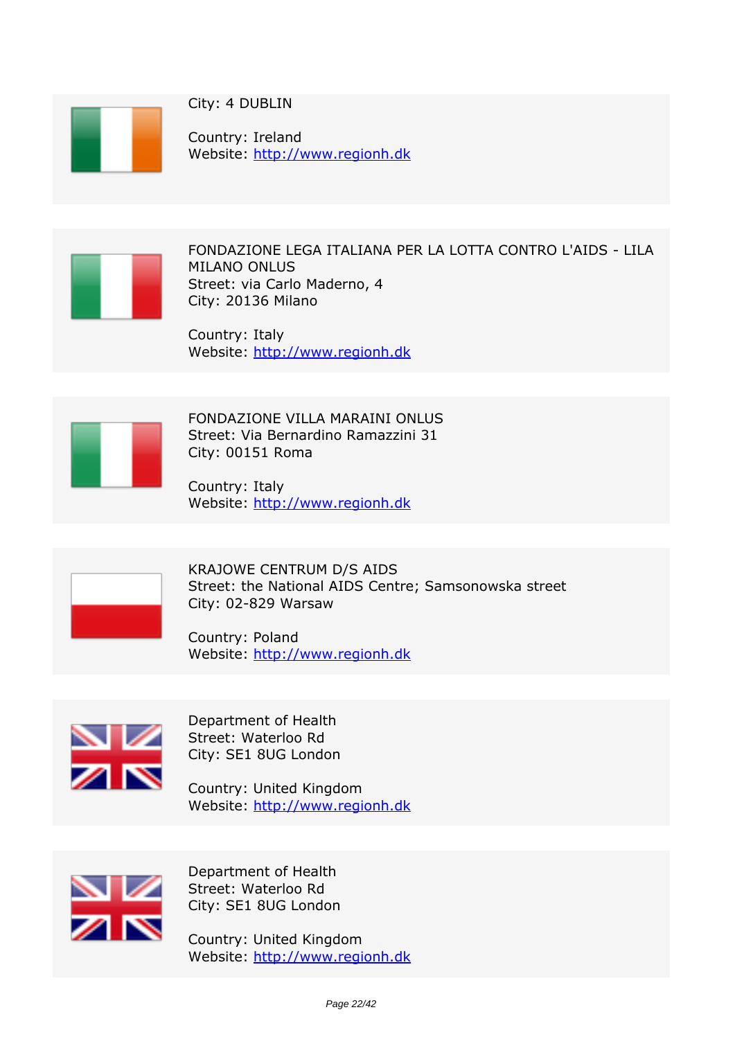

*City: 4 DUBLIN*

*Country: Ireland Website:* http://www.regionh.dk



*FONDAZIONE LEGA ITALIANA PER LA LOTTA CONTRO L'AIDS - LILA MILANO ONLUS Street: via Carlo Maderno, 4 City: 20136 Milano*

*Country: Italy Website:* http://www.regionh.dk



*FONDAZIONE VILLA MARAINI ONLUS Street: Via Bernardino Ramazzini 31 City: 00151 Roma*

*Country: Italy Website:* http://www.regionh.dk



*KRAJOWE CENTRUM D/S AIDS Street: the National AIDS Centre; Samsonowska street City: 02-829 Warsaw*

*Country: Poland Website:* http://www.regionh.dk



*Department of Health Street: Waterloo Rd City: SE1 8UG London*

*Country: United Kingdom Website:* http://www.regionh.dk



*Department of Health Street: Waterloo Rd City: SE1 8UG London*

*Country: United Kingdom Website:* http://www.regionh.dk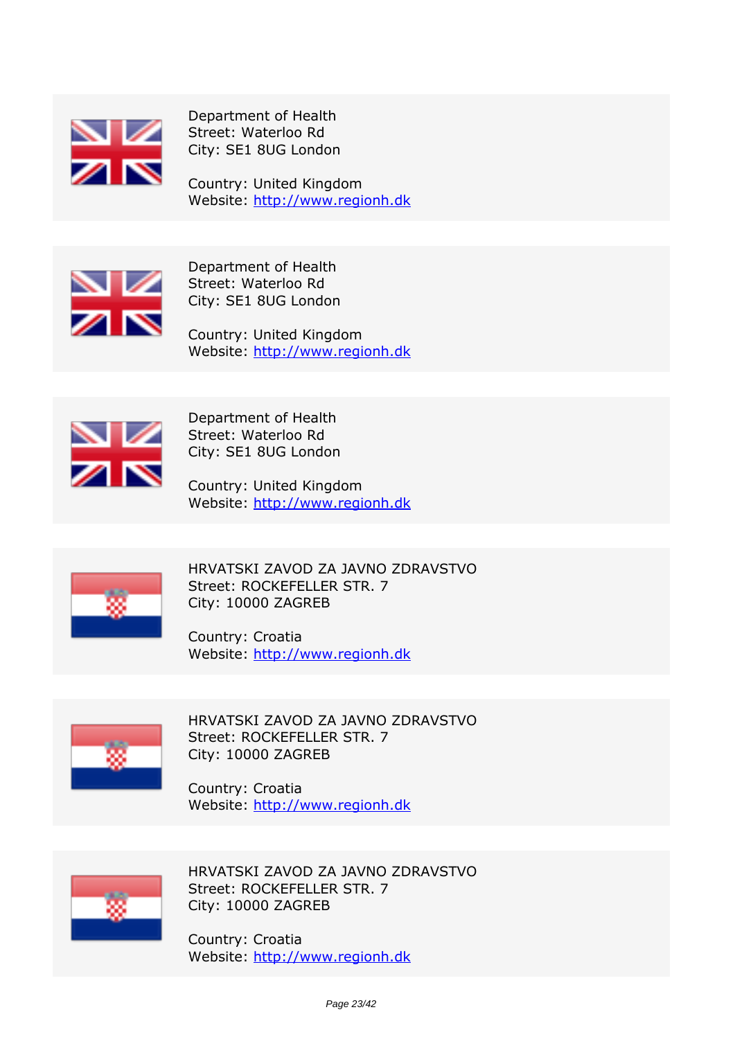

*Department of Health Street: Waterloo Rd City: SE1 8UG London*

*Country: United Kingdom Website:* http://www.regionh.dk



*Department of Health Street: Waterloo Rd City: SE1 8UG London*

*Country: United Kingdom Website:* http://www.regionh.dk



*Department of Health Street: Waterloo Rd City: SE1 8UG London*

*Country: United Kingdom Website:* http://www.regionh.dk



*HRVATSKI ZAVOD ZA JAVNO ZDRAVSTVO Street: ROCKEFELLER STR. 7 City: 10000 ZAGREB*

*Country: Croatia Website:* http://www.regionh.dk



*HRVATSKI ZAVOD ZA JAVNO ZDRAVSTVO Street: ROCKEFELLER STR. 7 City: 10000 ZAGREB*

*Country: Croatia Website:* http://www.regionh.dk



*HRVATSKI ZAVOD ZA JAVNO ZDRAVSTVO Street: ROCKEFELLER STR. 7 City: 10000 ZAGREB*

*Country: Croatia Website:* http://www.regionh.dk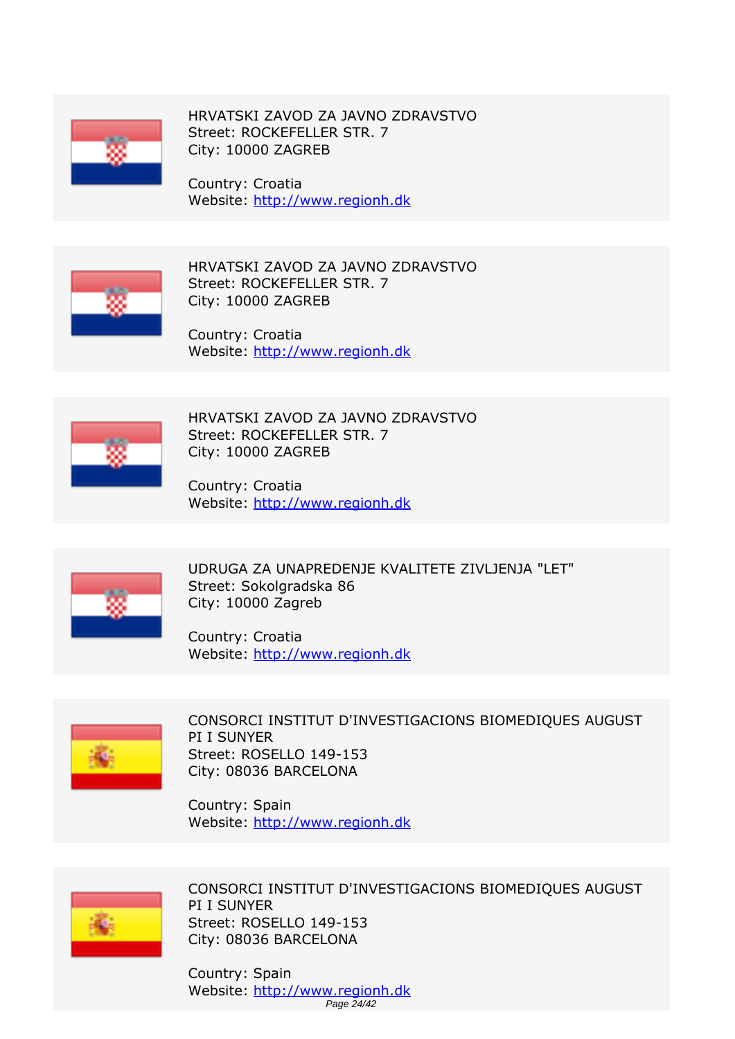

*HRVATSKI ZAVOD ZA JAVNO ZDRAVSTVO Street: ROCKEFELLER STR. 7 City: 10000 ZAGREB*

*Country: Croatia Website:* http://www.regionh.dk



*HRVATSKI ZAVOD ZA JAVNO ZDRAVSTVO Street: ROCKEFELLER STR. 7 City: 10000 ZAGREB*

*Country: Croatia Website:* http://www.regionh.dk



*HRVATSKI ZAVOD ZA JAVNO ZDRAVSTVO Street: ROCKEFELLER STR. 7 City: 10000 ZAGREB*

*Country: Croatia Website:* http://www.regionh.dk



*UDRUGA ZA UNAPREDENJE KVALITETE ZIVLJENJA "LET" Street: Sokolgradska 86 City: 10000 Zagreb*

*Country: Croatia Website:* http://www.regionh.dk



*CONSORCI INSTITUT D'INVESTIGACIONS BIOMEDIQUES AUGUST PI I SUNYER Street: ROSELLO 149-153 City: 08036 BARCELONA*

*Country: Spain Website:* http://www.regionh.dk



*CONSORCI INSTITUT D'INVESTIGACIONS BIOMEDIQUES AUGUST PI I SUNYER Street: ROSELLO 149-153 City: 08036 BARCELONA*

*Country: Spain Website:* http://www.regionh.dk Page 24/42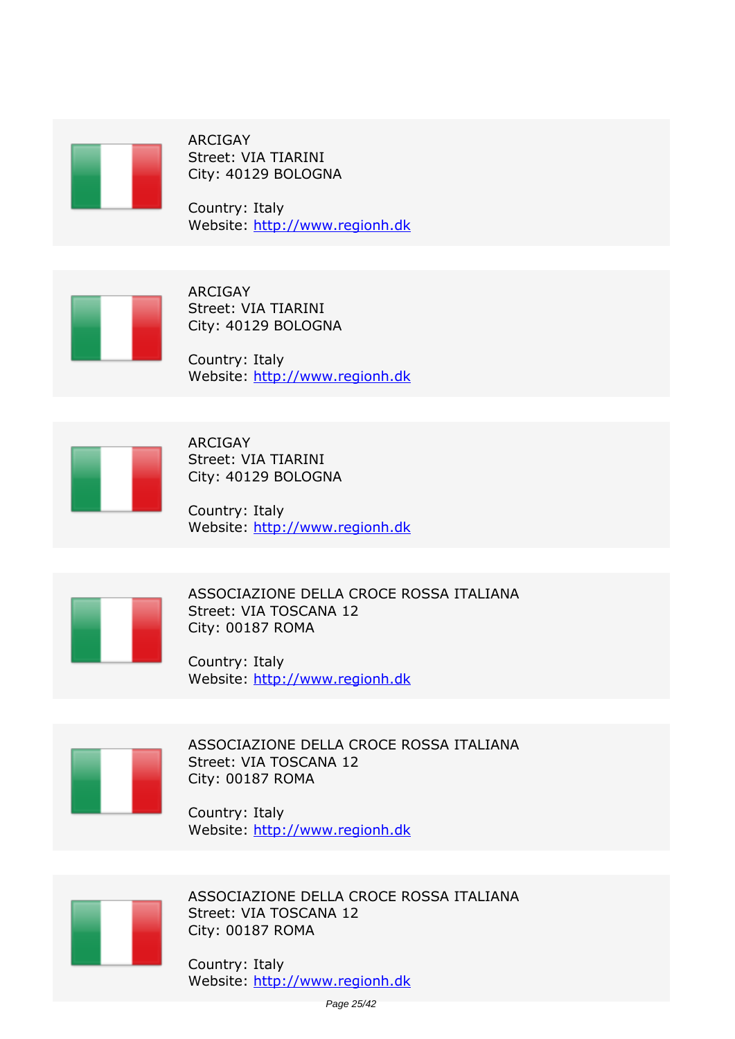

*ARCIGAY Street: VIA TIARINI City: 40129 BOLOGNA*

*Country: Italy Website:* http://www.regionh.dk



*ARCIGAY Street: VIA TIARINI City: 40129 BOLOGNA*

*Country: Italy Website:* http://www.regionh.dk



*ARCIGAY Street: VIA TIARINI City: 40129 BOLOGNA*

*Country: Italy Website:* http://www.regionh.dk



*ASSOCIAZIONE DELLA CROCE ROSSA ITALIANA Street: VIA TOSCANA 12 City: 00187 ROMA*

*Country: Italy Website:* http://www.regionh.dk



*ASSOCIAZIONE DELLA CROCE ROSSA ITALIANA Street: VIA TOSCANA 12 City: 00187 ROMA*

*Country: Italy Website:* http://www.regionh.dk



*ASSOCIAZIONE DELLA CROCE ROSSA ITALIANA Street: VIA TOSCANA 12 City: 00187 ROMA*

*Country: Italy Website:* http://www.regionh.dk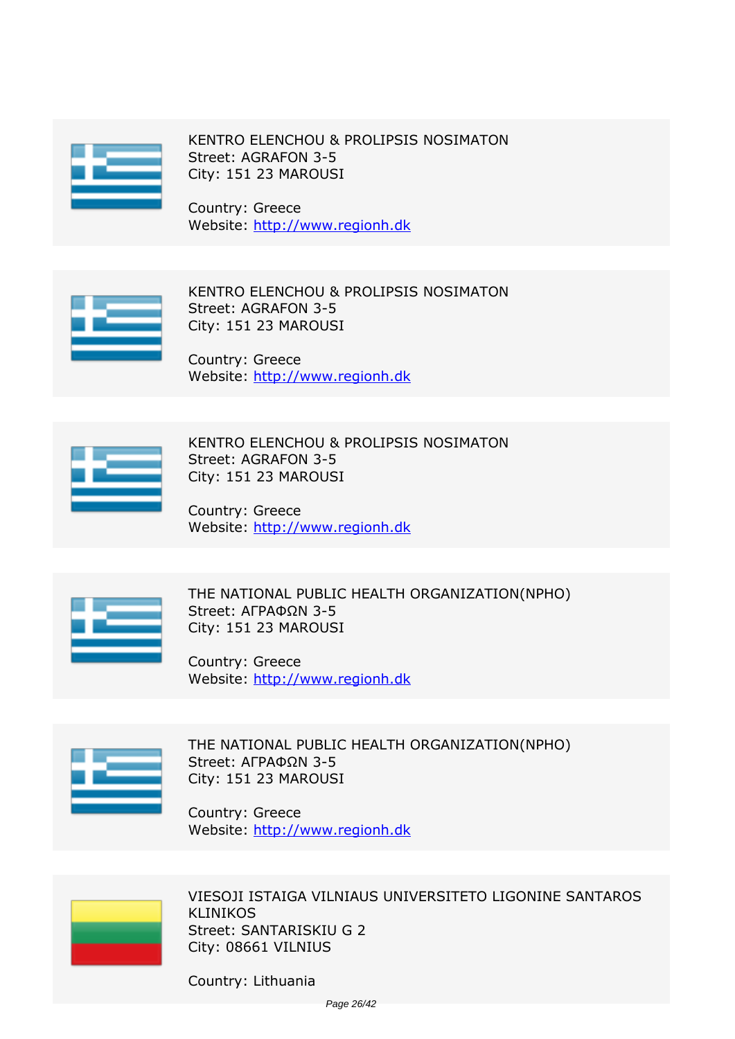

*KENTRO ELENCHOU & PROLIPSIS NOSIMATON Street: AGRAFON 3-5 City: 151 23 MAROUSI*

*Country: Greece Website:* http://www.regionh.dk



*KENTRO ELENCHOU & PROLIPSIS NOSIMATON Street: AGRAFON 3-5 City: 151 23 MAROUSI*

*Country: Greece Website:* http://www.regionh.dk



*KENTRO ELENCHOU & PROLIPSIS NOSIMATON Street: AGRAFON 3-5 City: 151 23 MAROUSI*

*Country: Greece Website:* http://www.regionh.dk



*THE NATIONAL PUBLIC HEALTH ORGANIZATION(NPHO) Street: ΑΓΡΑΦΩΝ 3-5 City: 151 23 MAROUSI*

*Country: Greece Website:* http://www.regionh.dk



*THE NATIONAL PUBLIC HEALTH ORGANIZATION(NPHO) Street: ΑΓΡΑΦΩΝ 3-5 City: 151 23 MAROUSI*

*Country: Greece Website:* http://www.regionh.dk



*VIESOJI ISTAIGA VILNIAUS UNIVERSITETO LIGONINE SANTAROS KLINIKOS Street: SANTARISKIU G 2 City: 08661 VILNIUS*

*Country: Lithuania*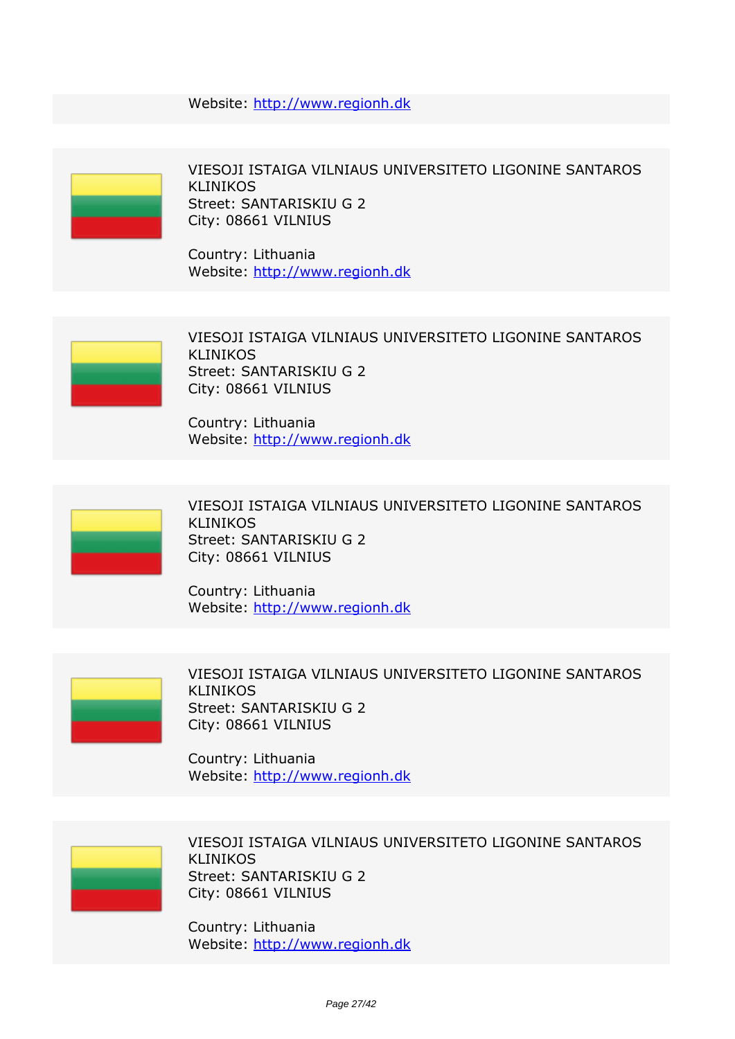*Website:* http://www.regionh.dk



*VIESOJI ISTAIGA VILNIAUS UNIVERSITETO LIGONINE SANTAROS KLINIKOS Street: SANTARISKIU G 2 City: 08661 VILNIUS*

*Country: Lithuania Website:* http://www.regionh.dk



*VIESOJI ISTAIGA VILNIAUS UNIVERSITETO LIGONINE SANTAROS KLINIKOS Street: SANTARISKIU G 2 City: 08661 VILNIUS*

*Country: Lithuania Website:* http://www.regionh.dk



*VIESOJI ISTAIGA VILNIAUS UNIVERSITETO LIGONINE SANTAROS KLINIKOS Street: SANTARISKIU G 2 City: 08661 VILNIUS*

*Country: Lithuania Website:* http://www.regionh.dk



*VIESOJI ISTAIGA VILNIAUS UNIVERSITETO LIGONINE SANTAROS KLINIKOS Street: SANTARISKIU G 2 City: 08661 VILNIUS*

*Country: Lithuania Website:* http://www.regionh.dk



*VIESOJI ISTAIGA VILNIAUS UNIVERSITETO LIGONINE SANTAROS KLINIKOS Street: SANTARISKIU G 2 City: 08661 VILNIUS*

*Country: Lithuania Website:* http://www.regionh.dk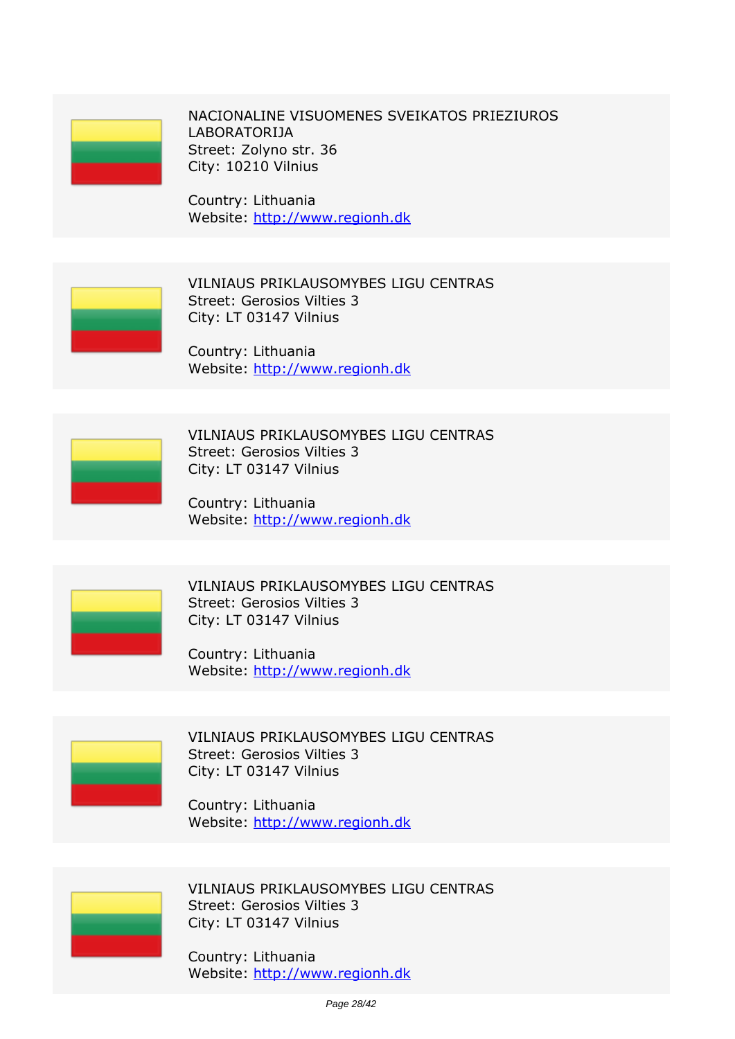*NACIONALINE VISUOMENES SVEIKATOS PRIEZIUROS LABORATORIJA Street: Zolyno str. 36 City: 10210 Vilnius*

*Country: Lithuania Website:* http://www.regionh.dk



*VILNIAUS PRIKLAUSOMYBES LIGU CENTRAS Street: Gerosios Vilties 3 City: LT 03147 Vilnius*

*Country: Lithuania Website:* http://www.regionh.dk



*VILNIAUS PRIKLAUSOMYBES LIGU CENTRAS Street: Gerosios Vilties 3 City: LT 03147 Vilnius*

*Country: Lithuania Website:* http://www.regionh.dk



*VILNIAUS PRIKLAUSOMYBES LIGU CENTRAS Street: Gerosios Vilties 3 City: LT 03147 Vilnius*

*Country: Lithuania Website:* http://www.regionh.dk



*VILNIAUS PRIKLAUSOMYBES LIGU CENTRAS Street: Gerosios Vilties 3 City: LT 03147 Vilnius*

*Country: Lithuania Website:* http://www.regionh.dk



*VILNIAUS PRIKLAUSOMYBES LIGU CENTRAS Street: Gerosios Vilties 3 City: LT 03147 Vilnius*

*Country: Lithuania Website:* http://www.regionh.dk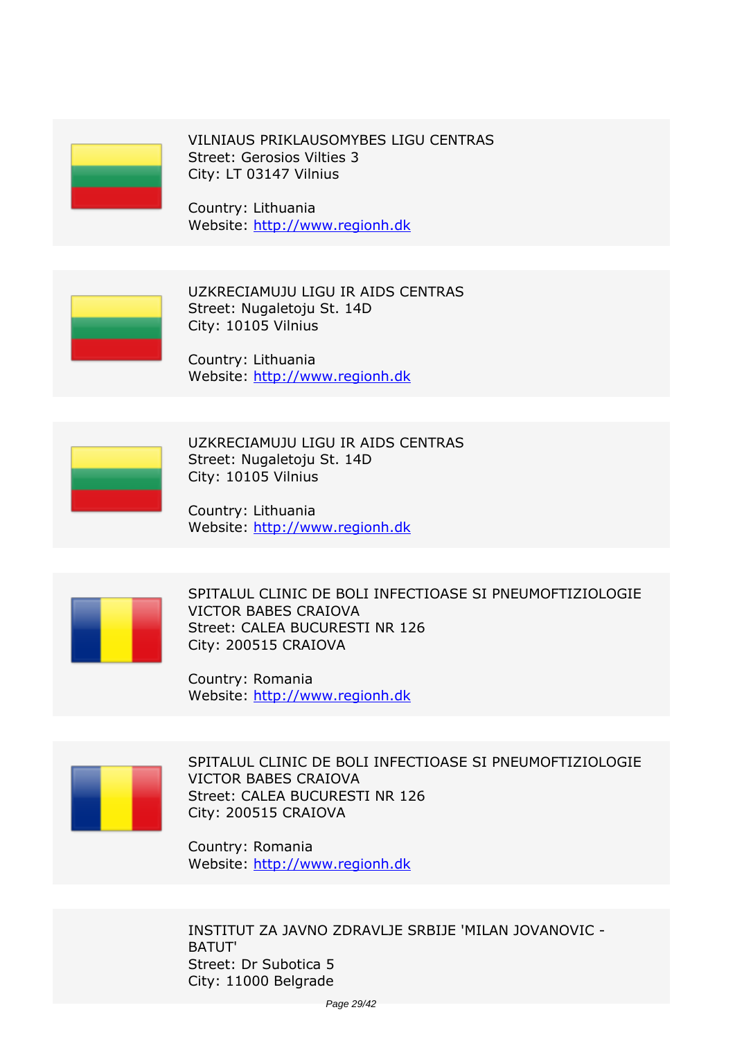

*VILNIAUS PRIKLAUSOMYBES LIGU CENTRAS Street: Gerosios Vilties 3 City: LT 03147 Vilnius*

*Country: Lithuania Website:* http://www.regionh.dk



*UZKRECIAMUJU LIGU IR AIDS CENTRAS Street: Nugaletoju St. 14D City: 10105 Vilnius*

*Country: Lithuania Website:* http://www.regionh.dk



*UZKRECIAMUJU LIGU IR AIDS CENTRAS Street: Nugaletoju St. 14D City: 10105 Vilnius*

*Country: Lithuania Website:* http://www.regionh.dk



*SPITALUL CLINIC DE BOLI INFECTIOASE SI PNEUMOFTIZIOLOGIE VICTOR BABES CRAIOVA Street: CALEA BUCURESTI NR 126 City: 200515 CRAIOVA*

*Country: Romania Website:* http://www.regionh.dk



*SPITALUL CLINIC DE BOLI INFECTIOASE SI PNEUMOFTIZIOLOGIE VICTOR BABES CRAIOVA Street: CALEA BUCURESTI NR 126 City: 200515 CRAIOVA*

*Country: Romania Website:* http://www.regionh.dk

*INSTITUT ZA JAVNO ZDRAVLJE SRBIJE 'MILAN JOVANOVIC - BATUT' Street: Dr Subotica 5 City: 11000 Belgrade*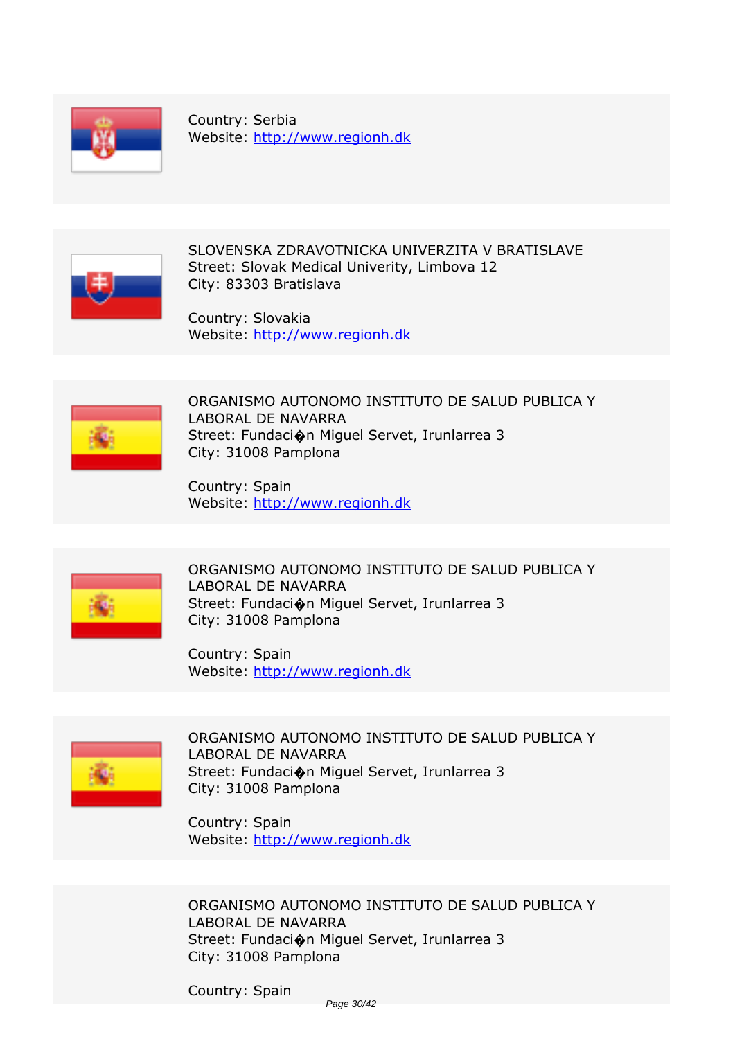

*Country: Serbia Website:* http://www.regionh.dk



*SLOVENSKA ZDRAVOTNICKA UNIVERZITA V BRATISLAVE Street: Slovak Medical Univerity, Limbova 12 City: 83303 Bratislava*

*Country: Slovakia Website:* http://www.regionh.dk



*ORGANISMO AUTONOMO INSTITUTO DE SALUD PUBLICA Y LABORAL DE NAVARRA Street: Fundaci�n Miguel Servet, Irunlarrea 3 City: 31008 Pamplona*

*Country: Spain Website:* http://www.regionh.dk



*ORGANISMO AUTONOMO INSTITUTO DE SALUD PUBLICA Y LABORAL DE NAVARRA Street: Fundaci�n Miguel Servet, Irunlarrea 3 City: 31008 Pamplona*

*Country: Spain Website:* http://www.regionh.dk



*ORGANISMO AUTONOMO INSTITUTO DE SALUD PUBLICA Y LABORAL DE NAVARRA Street: Fundaci�n Miguel Servet, Irunlarrea 3 City: 31008 Pamplona*

*Country: Spain Website:* http://www.regionh.dk

*ORGANISMO AUTONOMO INSTITUTO DE SALUD PUBLICA Y LABORAL DE NAVARRA Street: Fundaci�n Miguel Servet, Irunlarrea 3 City: 31008 Pamplona*

*Country: Spain*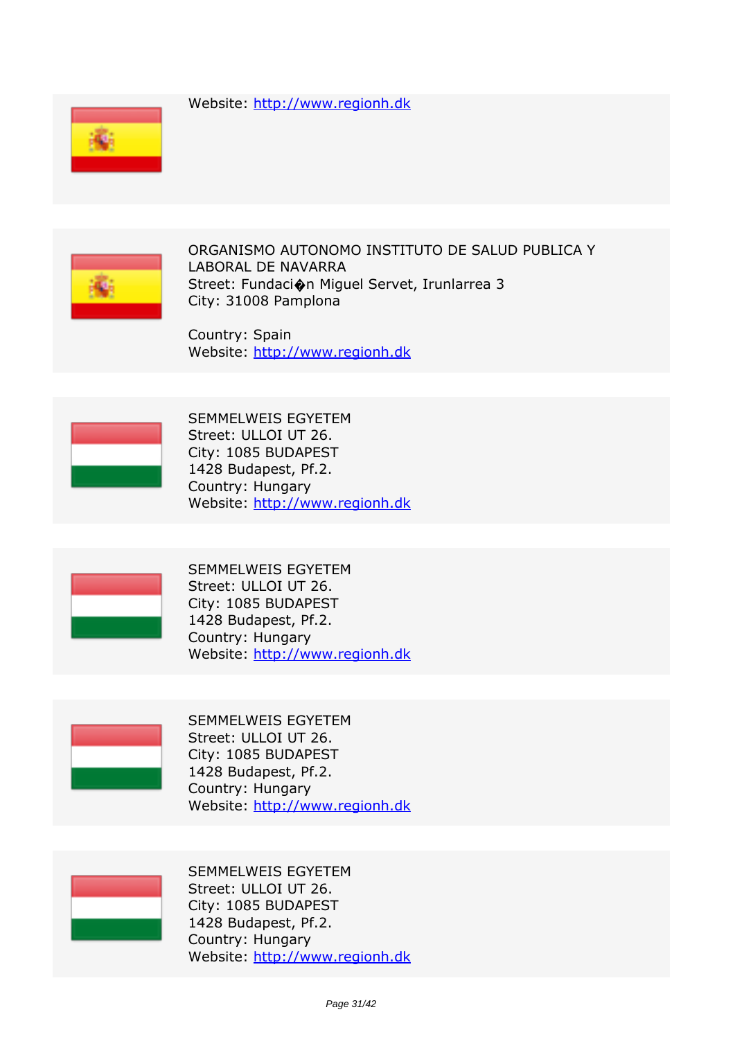*Website:* http://www.regionh.dk





*ORGANISMO AUTONOMO INSTITUTO DE SALUD PUBLICA Y LABORAL DE NAVARRA Street: Fundaci�n Miguel Servet, Irunlarrea 3 City: 31008 Pamplona*

*Country: Spain Website:* http://www.regionh.dk



*SEMMELWEIS EGYETEM Street: ULLOI UT 26. City: 1085 BUDAPEST 1428 Budapest, Pf.2. Country: Hungary Website:* http://www.regionh.dk



*SEMMELWEIS EGYETEM Street: ULLOI UT 26. City: 1085 BUDAPEST 1428 Budapest, Pf.2. Country: Hungary Website:* http://www.regionh.dk



*SEMMELWEIS EGYETEM Street: ULLOI UT 26. City: 1085 BUDAPEST 1428 Budapest, Pf.2. Country: Hungary Website:* http://www.regionh.dk



*SEMMELWEIS EGYETEM Street: ULLOI UT 26. City: 1085 BUDAPEST 1428 Budapest, Pf.2. Country: Hungary Website:* http://www.regionh.dk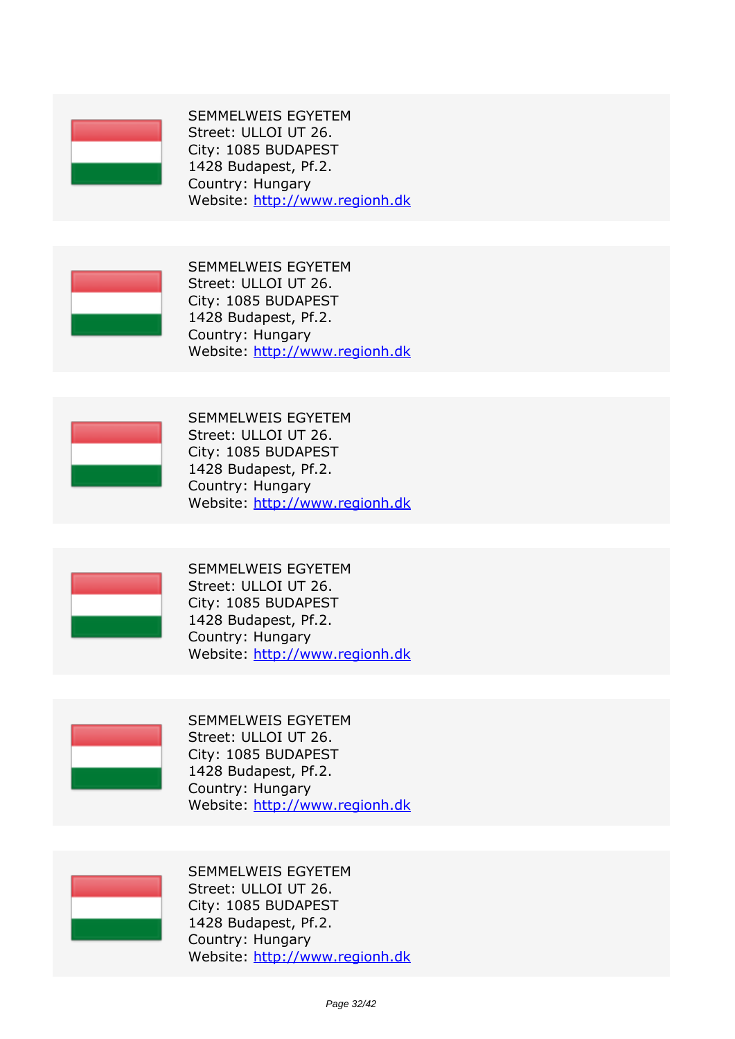

*SEMMELWEIS EGYETEM Street: ULLOI UT 26. City: 1085 BUDAPEST 1428 Budapest, Pf.2. Country: Hungary Website:* http://www.regionh.dk



*SEMMELWEIS EGYETEM Street: ULLOI UT 26. City: 1085 BUDAPEST 1428 Budapest, Pf.2. Country: Hungary Website:* http://www.regionh.dk



*SEMMELWEIS EGYETEM Street: ULLOI UT 26. City: 1085 BUDAPEST 1428 Budapest, Pf.2. Country: Hungary Website:* http://www.regionh.dk



*SEMMELWEIS EGYETEM Street: ULLOI UT 26. City: 1085 BUDAPEST 1428 Budapest, Pf.2. Country: Hungary Website:* http://www.regionh.dk



*SEMMELWEIS EGYETEM Street: ULLOI UT 26. City: 1085 BUDAPEST 1428 Budapest, Pf.2. Country: Hungary Website:* http://www.regionh.dk



*SEMMELWEIS EGYETEM Street: ULLOI UT 26. City: 1085 BUDAPEST 1428 Budapest, Pf.2. Country: Hungary Website:* http://www.regionh.dk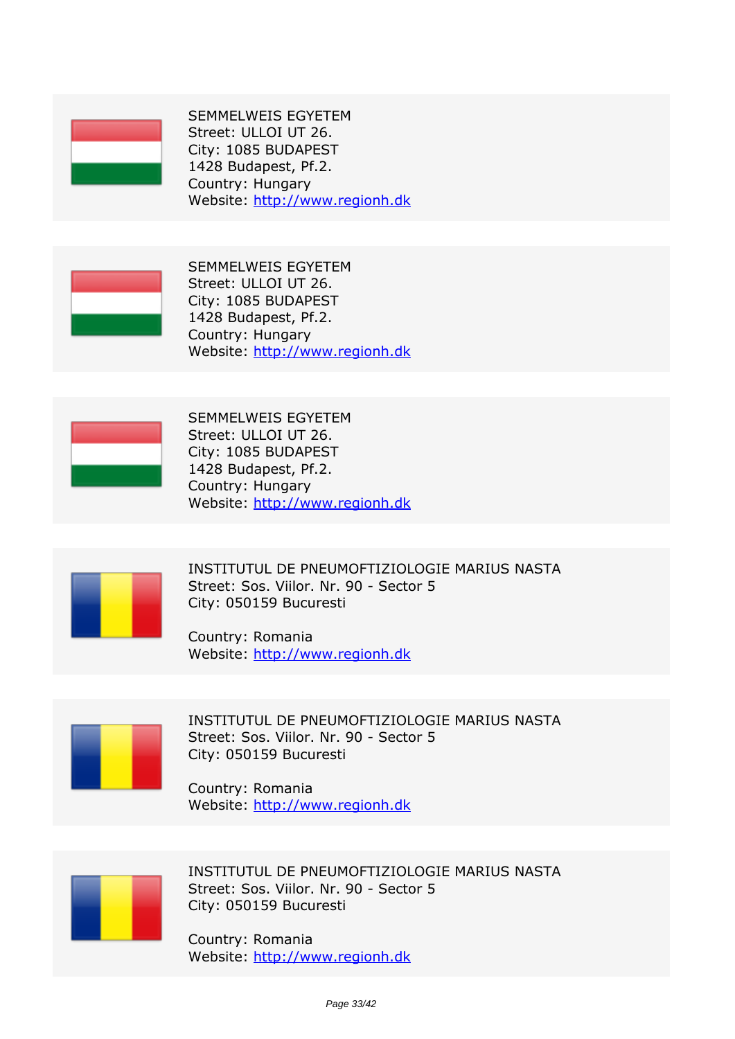

*SEMMELWEIS EGYETEM Street: ULLOI UT 26. City: 1085 BUDAPEST 1428 Budapest, Pf.2. Country: Hungary Website:* http://www.regionh.dk



*SEMMELWEIS EGYETEM Street: ULLOI UT 26. City: 1085 BUDAPEST 1428 Budapest, Pf.2. Country: Hungary Website:* http://www.regionh.dk



*SEMMELWEIS EGYETEM Street: ULLOI UT 26. City: 1085 BUDAPEST 1428 Budapest, Pf.2. Country: Hungary Website:* http://www.regionh.dk



*INSTITUTUL DE PNEUMOFTIZIOLOGIE MARIUS NASTA Street: Sos. Viilor. Nr. 90 - Sector 5 City: 050159 Bucuresti*

*Country: Romania Website:* http://www.regionh.dk



*INSTITUTUL DE PNEUMOFTIZIOLOGIE MARIUS NASTA Street: Sos. Viilor. Nr. 90 - Sector 5 City: 050159 Bucuresti*

*Country: Romania Website:* http://www.regionh.dk



*INSTITUTUL DE PNEUMOFTIZIOLOGIE MARIUS NASTA Street: Sos. Viilor. Nr. 90 - Sector 5 City: 050159 Bucuresti*

*Country: Romania Website:* http://www.regionh.dk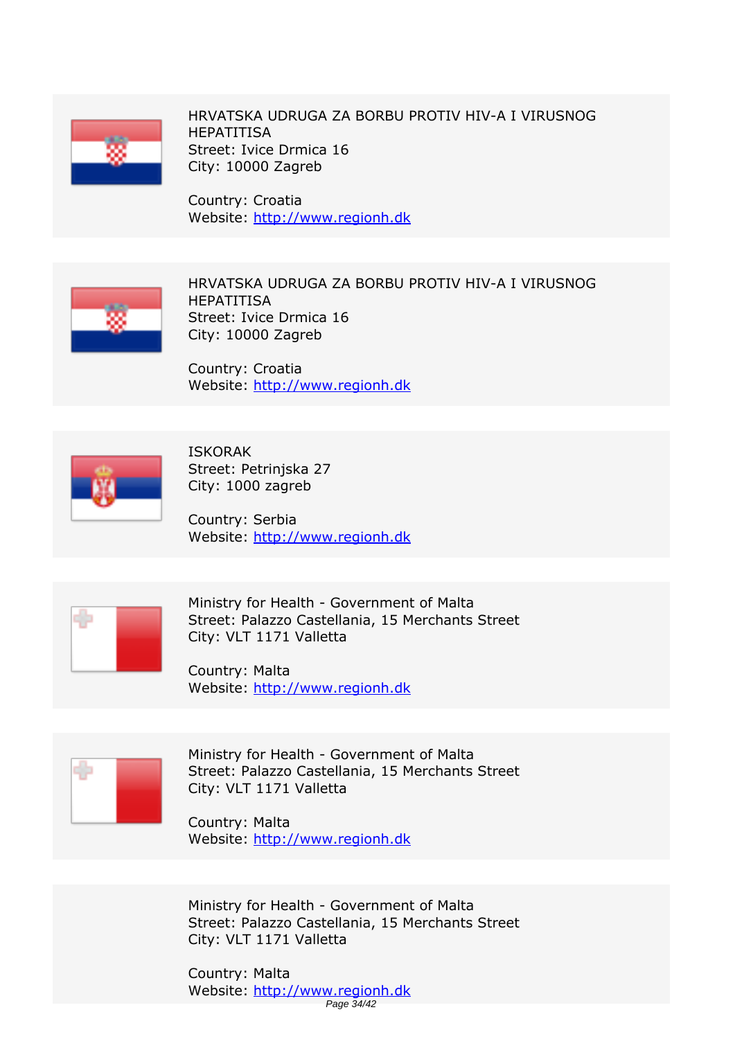

*HRVATSKA UDRUGA ZA BORBU PROTIV HIV-A I VIRUSNOG HEPATITISA Street: Ivice Drmica 16 City: 10000 Zagreb*

*Country: Croatia Website:* http://www.regionh.dk



*HRVATSKA UDRUGA ZA BORBU PROTIV HIV-A I VIRUSNOG HEPATITISA Street: Ivice Drmica 16 City: 10000 Zagreb*

*Country: Croatia Website:* http://www.regionh.dk



*ISKORAK Street: Petrinjska 27 City: 1000 zagreb*

*Country: Serbia Website:* http://www.regionh.dk



*Ministry for Health - Government of Malta Street: Palazzo Castellania, 15 Merchants Street City: VLT 1171 Valletta*

*Country: Malta Website:* http://www.regionh.dk



*Ministry for Health - Government of Malta Street: Palazzo Castellania, 15 Merchants Street City: VLT 1171 Valletta*

*Country: Malta Website:* http://www.regionh.dk

*Ministry for Health - Government of Malta Street: Palazzo Castellania, 15 Merchants Street City: VLT 1171 Valletta*

*Country: Malta Website:* http://www.regionh.dk Page 34/42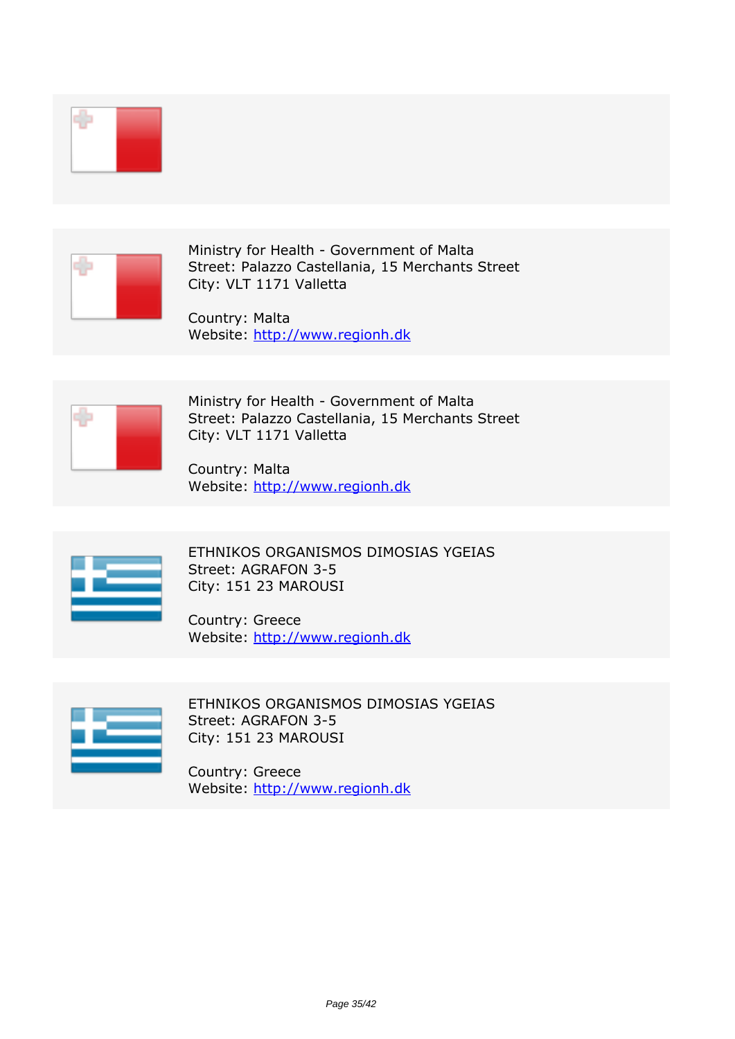

*Ministry for Health - Government of Malta Street: Palazzo Castellania, 15 Merchants Street City: VLT 1171 Valletta*

*Country: Malta Website:* http://www.regionh.dk



*Ministry for Health - Government of Malta Street: Palazzo Castellania, 15 Merchants Street City: VLT 1171 Valletta*

*Country: Malta Website:* http://www.regionh.dk



*ETHNIKOS ORGANISMOS DIMOSIAS YGEIAS Street: AGRAFON 3-5 City: 151 23 MAROUSI*

*Country: Greece Website:* http://www.regionh.dk



*ETHNIKOS ORGANISMOS DIMOSIAS YGEIAS Street: AGRAFON 3-5 City: 151 23 MAROUSI*

*Country: Greece Website:* http://www.regionh.dk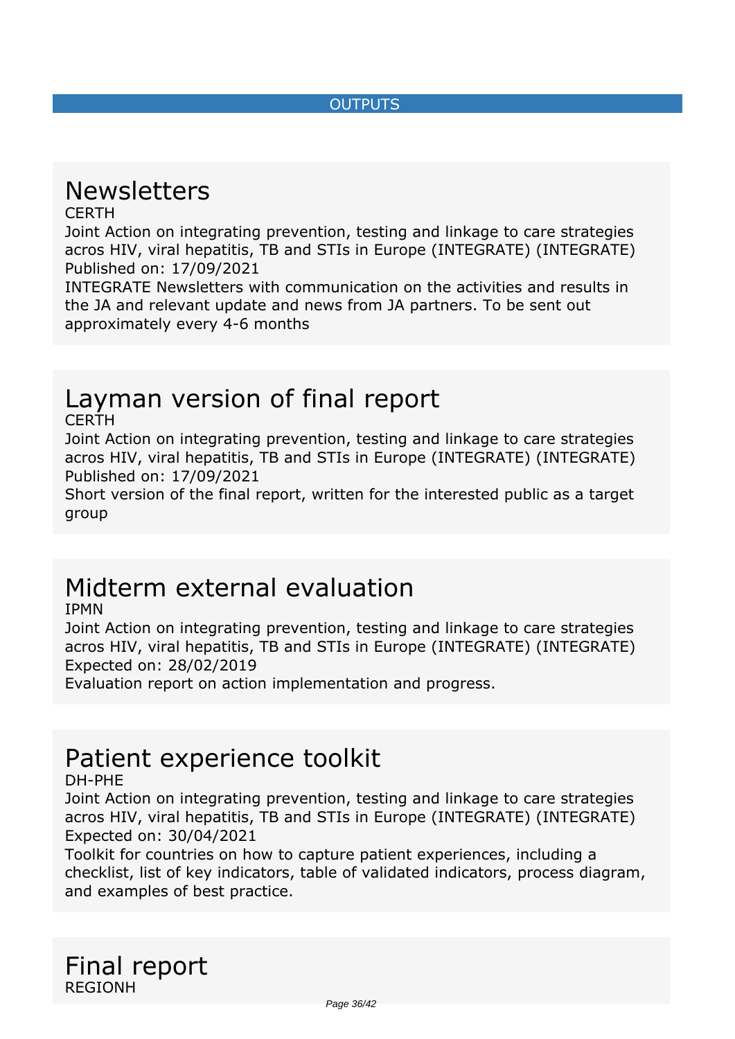#### *OUTPUTS*

# <span id="page-35-0"></span>*Newsletters*

#### *CERTH*

*Joint Action on integrating prevention, testing and linkage to care strategies acros HIV, viral hepatitis, TB and STIs in Europe (INTEGRATE) (INTEGRATE) Published on: 17/09/2021*

*INTEGRATE Newsletters with communication on the activities and results in the JA and relevant update and news from JA partners. To be sent out approximately every 4-6 months*

## *Layman version of final report*

#### *CERTH*

*Joint Action on integrating prevention, testing and linkage to care strategies acros HIV, viral hepatitis, TB and STIs in Europe (INTEGRATE) (INTEGRATE) Published on: 17/09/2021*

*Short version of the final report, written for the interested public as a target group*

### *Midterm external evaluation*

*IPMN*

*Joint Action on integrating prevention, testing and linkage to care strategies acros HIV, viral hepatitis, TB and STIs in Europe (INTEGRATE) (INTEGRATE) Expected on: 28/02/2019*

*Evaluation report on action implementation and progress.*

### *Patient experience toolkit*

*DH-PHE*

*Joint Action on integrating prevention, testing and linkage to care strategies acros HIV, viral hepatitis, TB and STIs in Europe (INTEGRATE) (INTEGRATE) Expected on: 30/04/2021*

*Toolkit for countries on how to capture patient experiences, including a checklist, list of key indicators, table of validated indicators, process diagram, and examples of best practice.*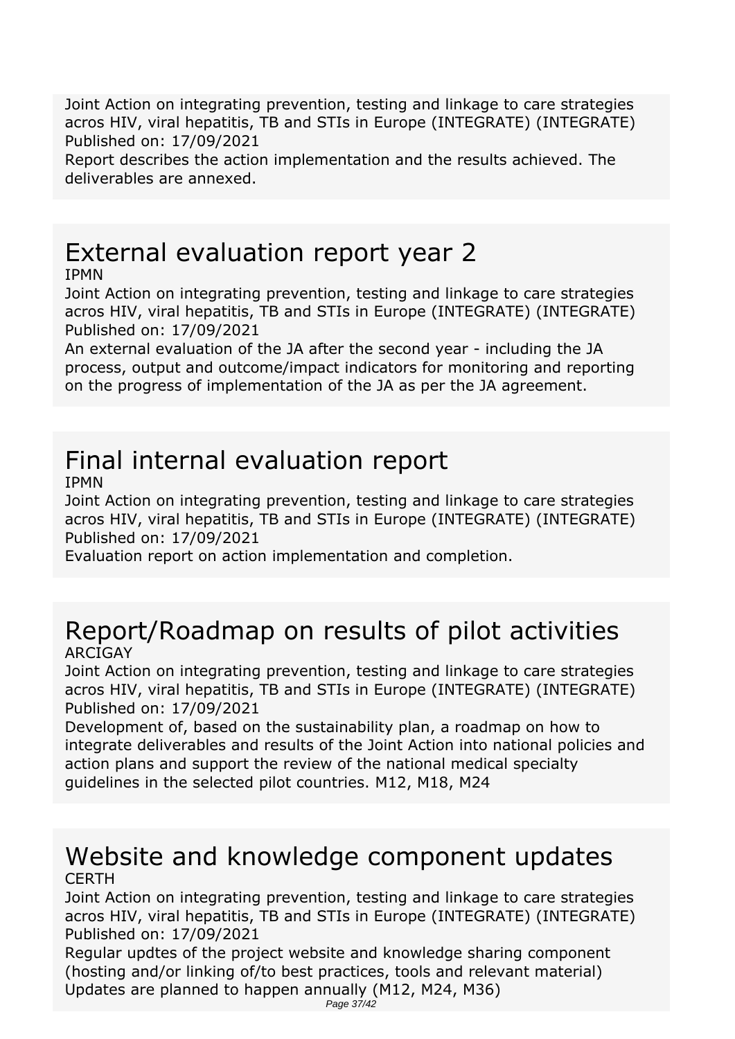*Joint Action on integrating prevention, testing and linkage to care strategies acros HIV, viral hepatitis, TB and STIs in Europe (INTEGRATE) (INTEGRATE) Published on: 17/09/2021*

*Report describes the action implementation and the results achieved. The deliverables are annexed.*

# *External evaluation report year 2*

*IPMN*

*Joint Action on integrating prevention, testing and linkage to care strategies acros HIV, viral hepatitis, TB and STIs in Europe (INTEGRATE) (INTEGRATE) Published on: 17/09/2021*

*An external evaluation of the JA after the second year - including the JA process, output and outcome/impact indicators for monitoring and reporting on the progress of implementation of the JA as per the JA agreement.*

# *Final internal evaluation report*

*IPMN*

*Joint Action on integrating prevention, testing and linkage to care strategies acros HIV, viral hepatitis, TB and STIs in Europe (INTEGRATE) (INTEGRATE) Published on: 17/09/2021*

*Evaluation report on action implementation and completion.*

### *Report/Roadmap on results of pilot activities ARCIGAY*

*Joint Action on integrating prevention, testing and linkage to care strategies acros HIV, viral hepatitis, TB and STIs in Europe (INTEGRATE) (INTEGRATE) Published on: 17/09/2021*

*Development of, based on the sustainability plan, a roadmap on how to integrate deliverables and results of the Joint Action into national policies and action plans and support the review of the national medical specialty guidelines in the selected pilot countries. M12, M18, M24*

### *Website and knowledge component updates CERTH*

*Joint Action on integrating prevention, testing and linkage to care strategies acros HIV, viral hepatitis, TB and STIs in Europe (INTEGRATE) (INTEGRATE) Published on: 17/09/2021*

*Regular updtes of the project website and knowledge sharing component (hosting and/or linking of/to best practices, tools and relevant material) Updates are planned to happen annually (M12, M24, M36)*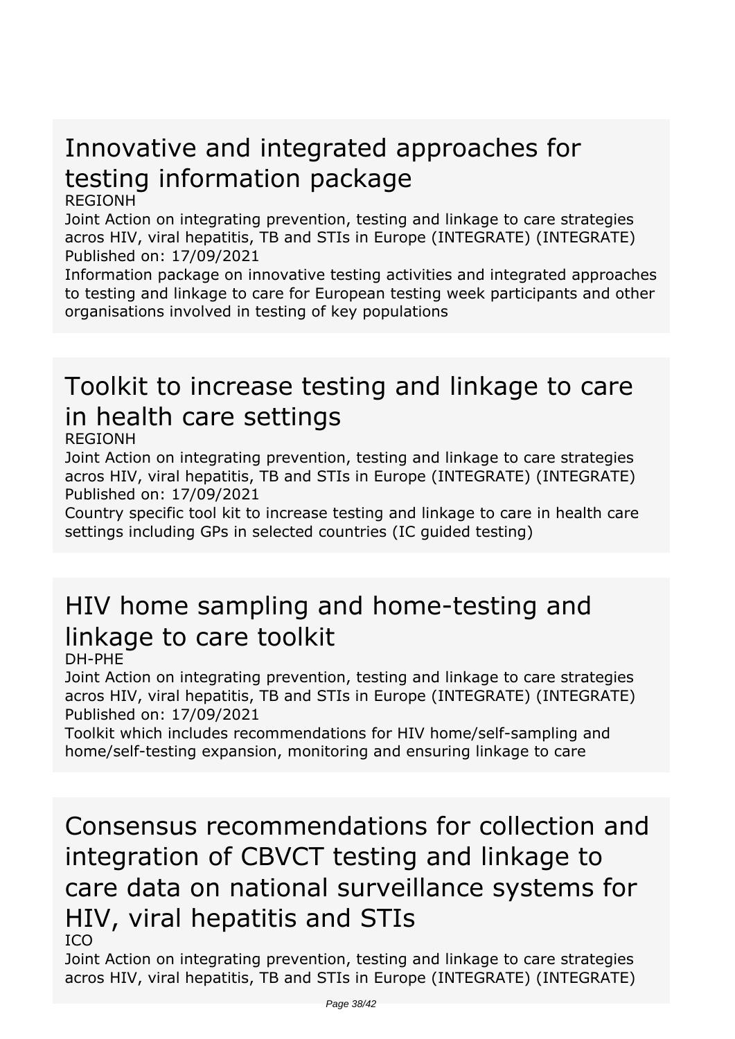# *Innovative and integrated approaches for testing information package*

#### *REGIONH*

*Joint Action on integrating prevention, testing and linkage to care strategies acros HIV, viral hepatitis, TB and STIs in Europe (INTEGRATE) (INTEGRATE) Published on: 17/09/2021*

*Information package on innovative testing activities and integrated approaches to testing and linkage to care for European testing week participants and other organisations involved in testing of key populations*

# *Toolkit to increase testing and linkage to care in health care settings*

#### *REGIONH*

*Joint Action on integrating prevention, testing and linkage to care strategies acros HIV, viral hepatitis, TB and STIs in Europe (INTEGRATE) (INTEGRATE) Published on: 17/09/2021*

*Country specific tool kit to increase testing and linkage to care in health care settings including GPs in selected countries (IC guided testing)*

# *HIV home sampling and home-testing and linkage to care toolkit*

*DH-PHE*

*Joint Action on integrating prevention, testing and linkage to care strategies acros HIV, viral hepatitis, TB and STIs in Europe (INTEGRATE) (INTEGRATE) Published on: 17/09/2021*

*Toolkit which includes recommendations for HIV home/self-sampling and home/self-testing expansion, monitoring and ensuring linkage to care*

# *Consensus recommendations for collection and integration of CBVCT testing and linkage to care data on national surveillance systems for HIV, viral hepatitis and STIs*

*ICO*

*Joint Action on integrating prevention, testing and linkage to care strategies acros HIV, viral hepatitis, TB and STIs in Europe (INTEGRATE) (INTEGRATE)*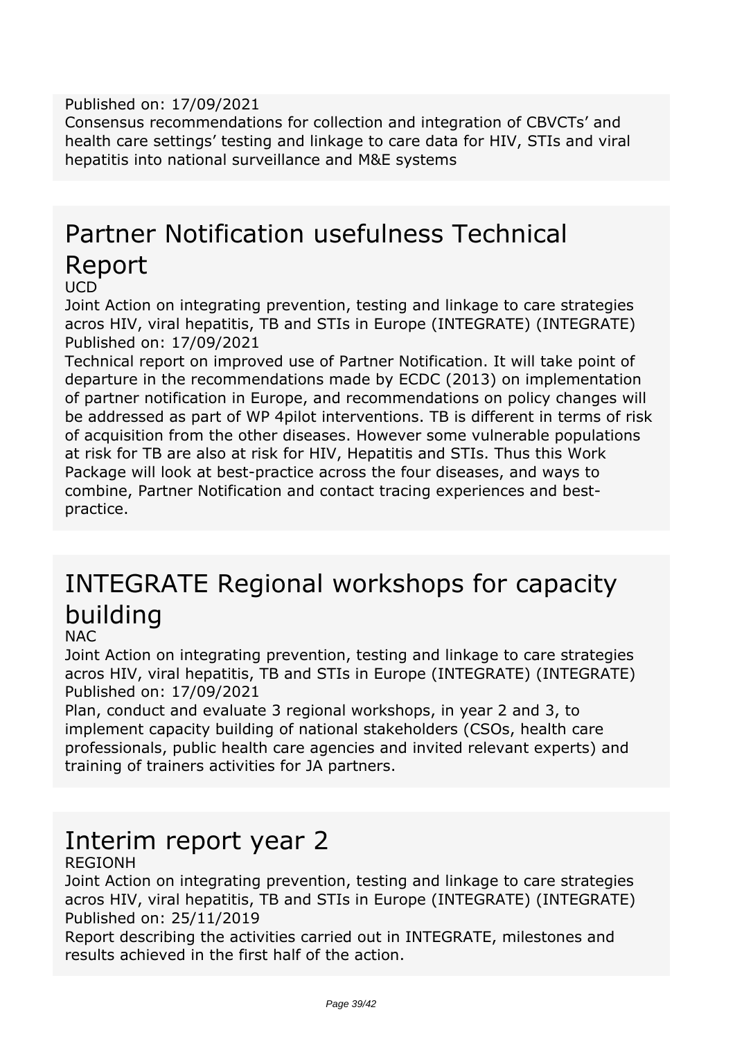#### *Published on: 17/09/2021*

*Consensus recommendations for collection and integration of CBVCTs' and health care settings' testing and linkage to care data for HIV, STIs and viral hepatitis into national surveillance and M&E systems*

# *Partner Notification usefulness Technical Report*

*UCD*

*Joint Action on integrating prevention, testing and linkage to care strategies acros HIV, viral hepatitis, TB and STIs in Europe (INTEGRATE) (INTEGRATE) Published on: 17/09/2021*

*Technical report on improved use of Partner Notification. It will take point of departure in the recommendations made by ECDC (2013) on implementation of partner notification in Europe, and recommendations on policy changes will be addressed as part of WP 4pilot interventions. TB is different in terms of risk of acquisition from the other diseases. However some vulnerable populations at risk for TB are also at risk for HIV, Hepatitis and STIs. Thus this Work Package will look at best-practice across the four diseases, and ways to combine, Partner Notification and contact tracing experiences and bestpractice.*

# *INTEGRATE Regional workshops for capacity building*

#### *NAC*

*Joint Action on integrating prevention, testing and linkage to care strategies acros HIV, viral hepatitis, TB and STIs in Europe (INTEGRATE) (INTEGRATE) Published on: 17/09/2021*

*Plan, conduct and evaluate 3 regional workshops, in year 2 and 3, to implement capacity building of national stakeholders (CSOs, health care professionals, public health care agencies and invited relevant experts) and training of trainers activities for JA partners.*

# *Interim report year 2*

#### *REGIONH*

*Joint Action on integrating prevention, testing and linkage to care strategies acros HIV, viral hepatitis, TB and STIs in Europe (INTEGRATE) (INTEGRATE) Published on: 25/11/2019*

*Report describing the activities carried out in INTEGRATE, milestones and results achieved in the first half of the action.*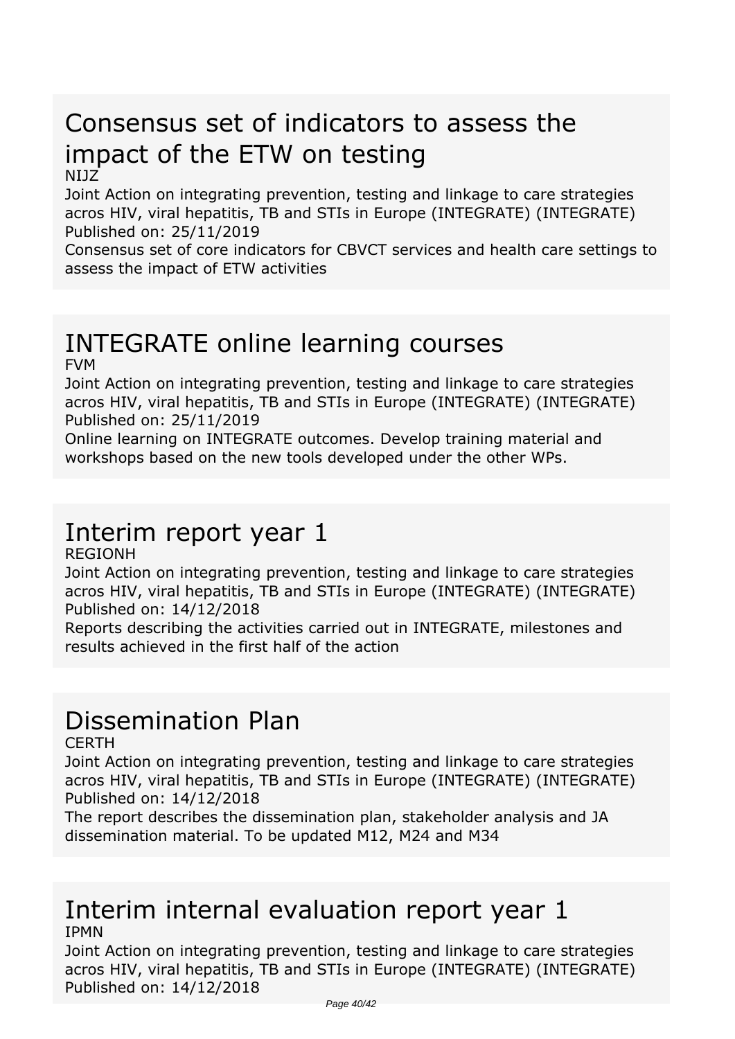# *Consensus set of indicators to assess the impact of the ETW on testing*

#### *NIJZ*

*Joint Action on integrating prevention, testing and linkage to care strategies acros HIV, viral hepatitis, TB and STIs in Europe (INTEGRATE) (INTEGRATE) Published on: 25/11/2019*

*Consensus set of core indicators for CBVCT services and health care settings to assess the impact of ETW activities*

#### *INTEGRATE online learning courses FVM*

*Joint Action on integrating prevention, testing and linkage to care strategies acros HIV, viral hepatitis, TB and STIs in Europe (INTEGRATE) (INTEGRATE) Published on: 25/11/2019*

*Online learning on INTEGRATE outcomes. Develop training material and workshops based on the new tools developed under the other WPs.*

### *Interim report year 1*

*REGIONH*

*Joint Action on integrating prevention, testing and linkage to care strategies acros HIV, viral hepatitis, TB and STIs in Europe (INTEGRATE) (INTEGRATE) Published on: 14/12/2018*

*Reports describing the activities carried out in INTEGRATE, milestones and results achieved in the first half of the action*

## *Dissemination Plan*

*CERTH*

*Joint Action on integrating prevention, testing and linkage to care strategies acros HIV, viral hepatitis, TB and STIs in Europe (INTEGRATE) (INTEGRATE) Published on: 14/12/2018*

*The report describes the dissemination plan, stakeholder analysis and JA dissemination material. To be updated M12, M24 and M34*

### *Interim internal evaluation report year 1 IPMN*

*Joint Action on integrating prevention, testing and linkage to care strategies acros HIV, viral hepatitis, TB and STIs in Europe (INTEGRATE) (INTEGRATE) Published on: 14/12/2018*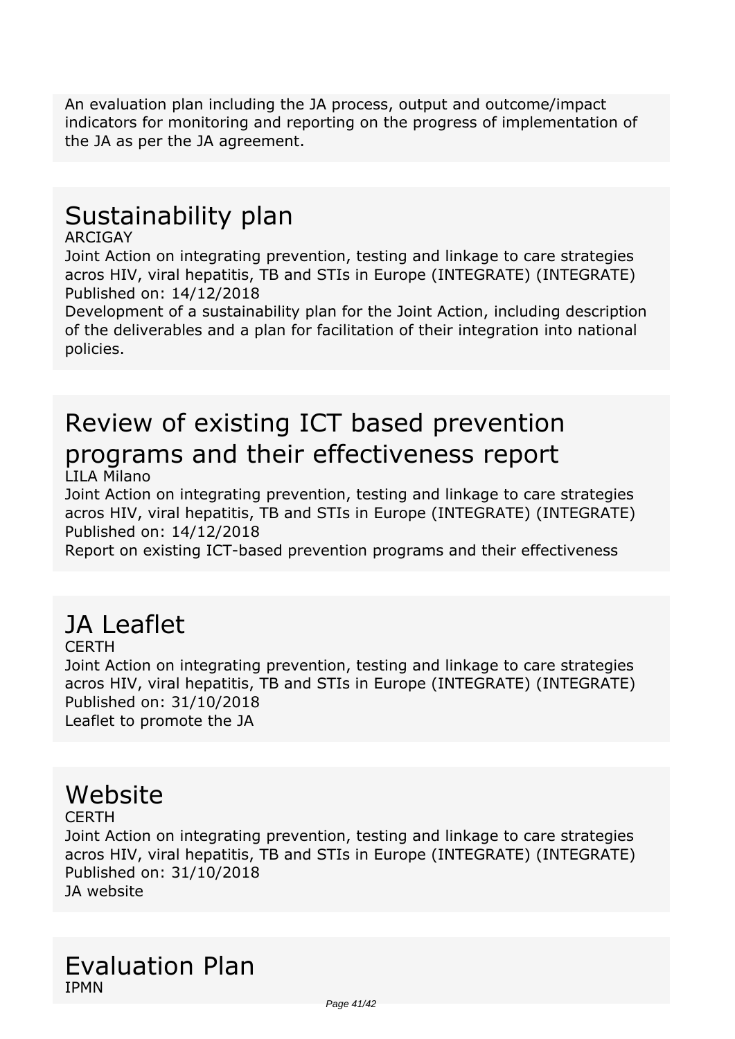*An evaluation plan including the JA process, output and outcome/impact indicators for monitoring and reporting on the progress of implementation of the JA as per the JA agreement.*

## *Sustainability plan*

#### *ARCIGAY*

*Joint Action on integrating prevention, testing and linkage to care strategies acros HIV, viral hepatitis, TB and STIs in Europe (INTEGRATE) (INTEGRATE) Published on: 14/12/2018*

*Development of a sustainability plan for the Joint Action, including description of the deliverables and a plan for facilitation of their integration into national policies.*

# *Review of existing ICT based prevention programs and their effectiveness report*

*LILA Milano*

*Joint Action on integrating prevention, testing and linkage to care strategies acros HIV, viral hepatitis, TB and STIs in Europe (INTEGRATE) (INTEGRATE) Published on: 14/12/2018*

*Report on existing ICT-based prevention programs and their effectiveness*

# *JA Leaflet*

*CERTH*

*Joint Action on integrating prevention, testing and linkage to care strategies acros HIV, viral hepatitis, TB and STIs in Europe (INTEGRATE) (INTEGRATE) Published on: 31/10/2018 Leaflet to promote the JA*

### *Website*

*CERTH*

*Joint Action on integrating prevention, testing and linkage to care strategies acros HIV, viral hepatitis, TB and STIs in Europe (INTEGRATE) (INTEGRATE) Published on: 31/10/2018 JA website*